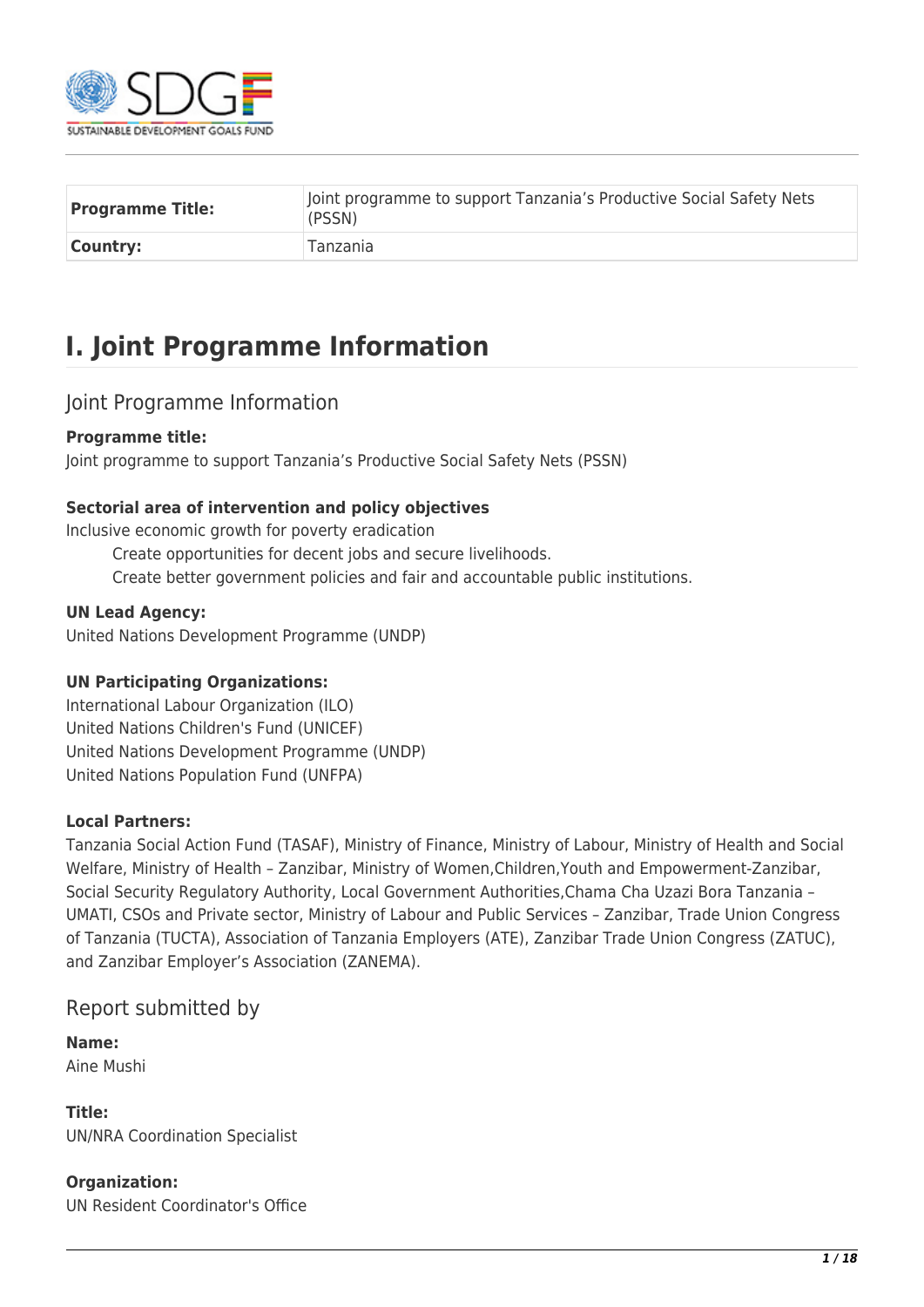

| <b>Programme Title:</b> | Joint programme to support Tanzania's Productive Social Safety Nets<br>(PSSN) |
|-------------------------|-------------------------------------------------------------------------------|
| Country:                | <b>Tanzania</b>                                                               |

# **I. Joint Programme Information**

# Joint Programme Information

#### **Programme title:**

Joint programme to support Tanzania's Productive Social Safety Nets (PSSN)

### **Sectorial area of intervention and policy objectives**

Inclusive economic growth for poverty eradication

Create opportunities for decent jobs and secure livelihoods. Create better government policies and fair and accountable public institutions.

#### **UN Lead Agency:**

United Nations Development Programme (UNDP)

## **UN Participating Organizations:**

International Labour Organization (ILO) United Nations Children's Fund (UNICEF) United Nations Development Programme (UNDP) United Nations Population Fund (UNFPA)

#### **Local Partners:**

Tanzania Social Action Fund (TASAF), Ministry of Finance, Ministry of Labour, Ministry of Health and Social Welfare, Ministry of Health – Zanzibar, Ministry of Women,Children,Youth and Empowerment-Zanzibar, Social Security Regulatory Authority, Local Government Authorities,Chama Cha Uzazi Bora Tanzania – UMATI, CSOs and Private sector, Ministry of Labour and Public Services – Zanzibar, Trade Union Congress of Tanzania (TUCTA), Association of Tanzania Employers (ATE), Zanzibar Trade Union Congress (ZATUC), and Zanzibar Employer's Association (ZANEMA).

# Report submitted by

**Name:** 

Aine Mushi

**Title:**  UN/NRA Coordination Specialist

#### **Organization:**

UN Resident Coordinator's Office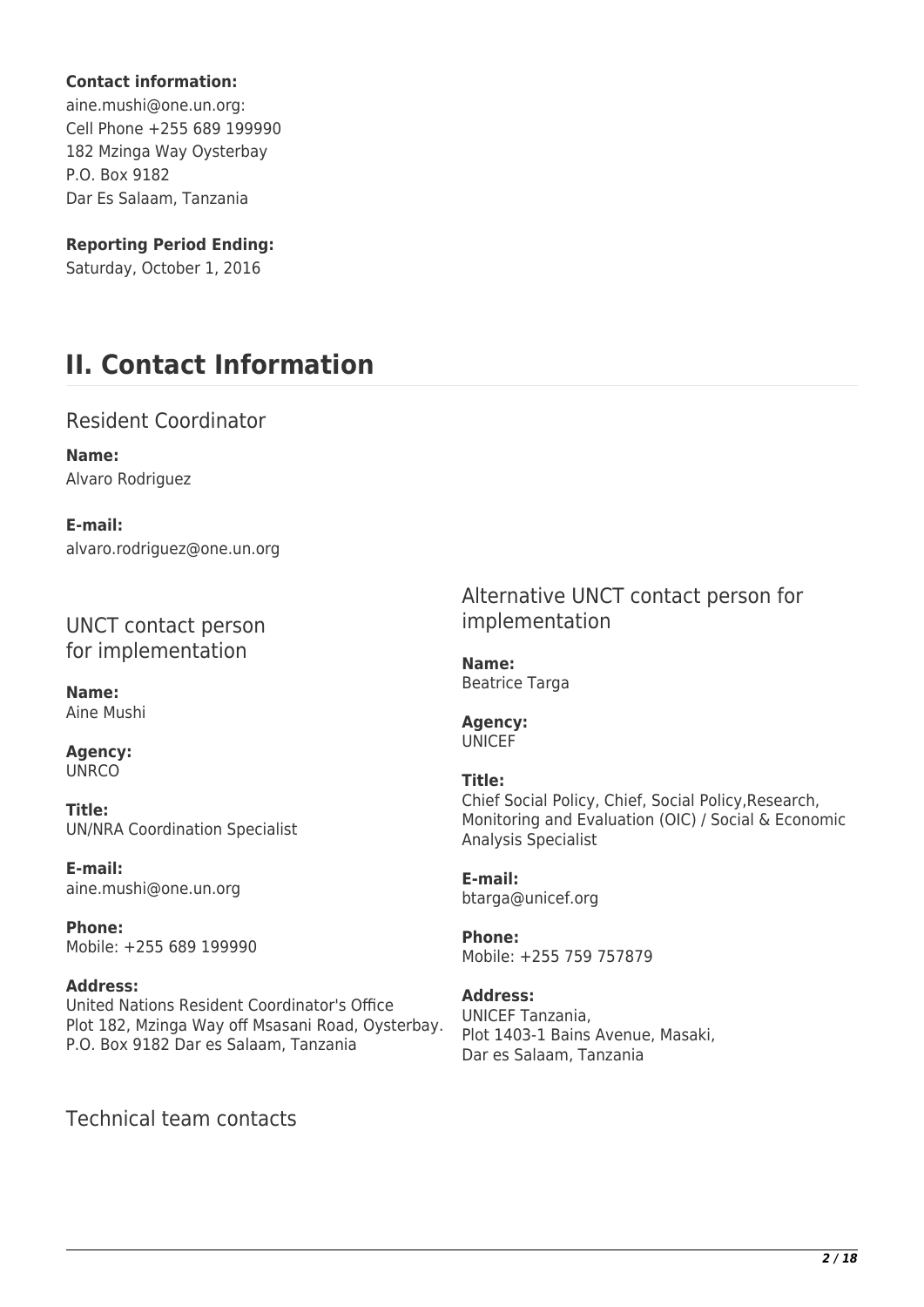#### **Contact information:**

aine.mushi@one.un.org: Cell Phone +255 689 199990 182 Mzinga Way Oysterbay P.O. Box 9182 Dar Es Salaam, Tanzania

**Reporting Period Ending:** 

Saturday, October 1, 2016

# **II. Contact Information**

Resident Coordinator

**Name:**  Alvaro Rodriguez

**E-mail:**  alvaro.rodriguez@one.un.org

UNCT contact person for implementation

**Name:**  Aine Mushi

**Agency:**  UNRCO

**Title:**  UN/NRA Coordination Specialist

**E-mail:**  aine.mushi@one.un.org

**Phone:**  Mobile: +255 689 199990

#### **Address:**

United Nations Resident Coordinator's Office Plot 182, Mzinga Way off Msasani Road, Oysterbay. P.O. Box 9182 Dar es Salaam, Tanzania

Technical team contacts

Alternative UNCT contact person for implementation

**Name:**  Beatrice Targa

#### **Agency:**  UNICEF

**Title:**  Chief Social Policy, Chief, Social Policy,Research, Monitoring and Evaluation (OIC) / Social & Economic Analysis Specialist

**E-mail:**  btarga@unicef.org

**Phone:**  Mobile: +255 759 757879

#### **Address:**

UNICEF Tanzania, Plot 1403-1 Bains Avenue, Masaki, Dar es Salaam, Tanzania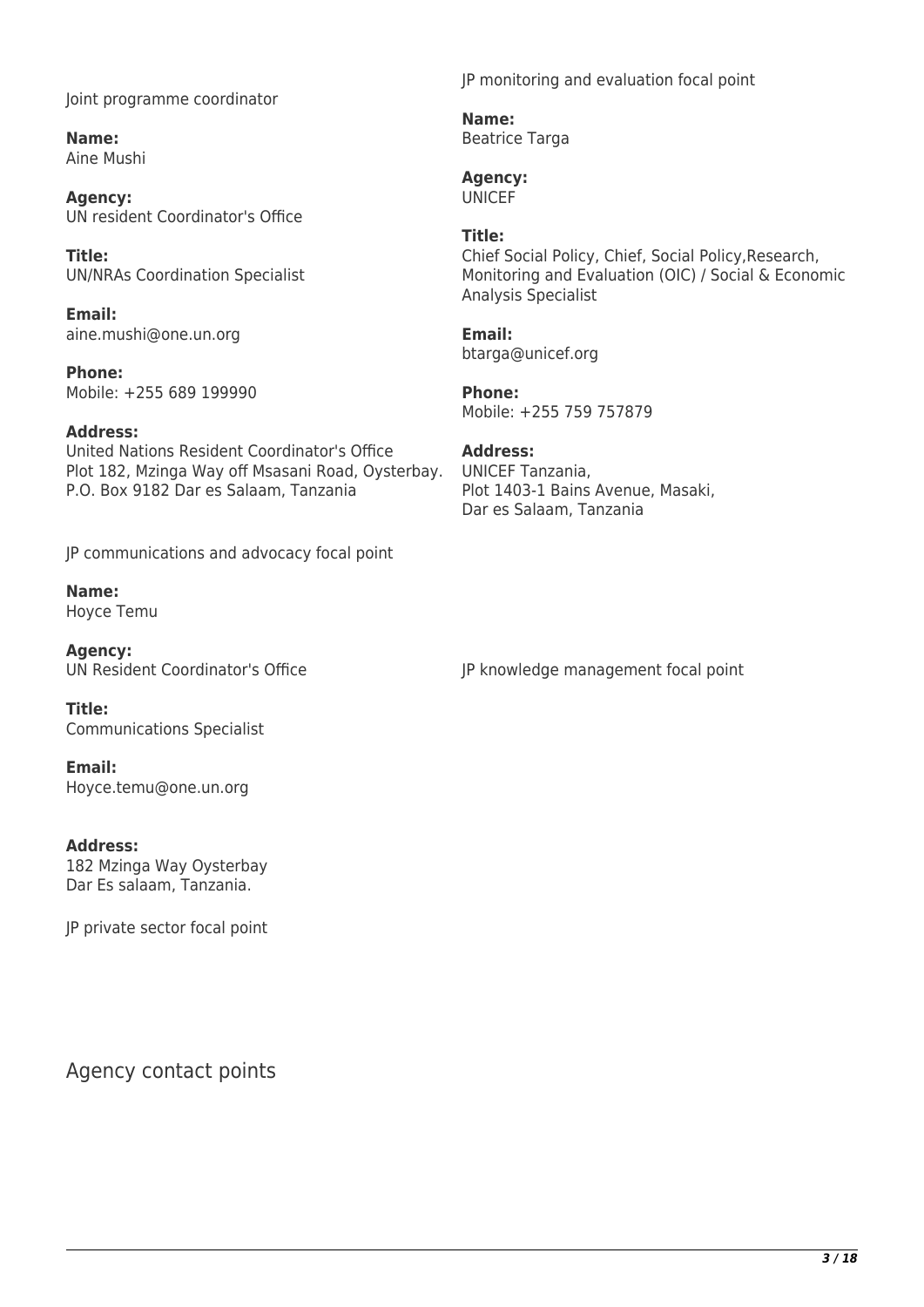Joint programme coordinator

**Name:**  Aine Mushi

**Agency:**  UN resident Coordinator's Office

**Title:**  UN/NRAs Coordination Specialist

**Email:**  aine.mushi@one.un.org

**Phone:**  Mobile: +255 689 199990

#### **Address:**

United Nations Resident Coordinator's Office Plot 182, Mzinga Way off Msasani Road, Oysterbay. P.O. Box 9182 Dar es Salaam, Tanzania

JP communications and advocacy focal point

**Name:**  Hoyce Temu

**Agency:**  UN Resident Coordinator's Office

JP knowledge management focal point

**Title:**  Communications Specialist

**Email:**  Hoyce.temu@one.un.org

#### **Address:**

182 Mzinga Way Oysterbay Dar Es salaam, Tanzania.

JP private sector focal point

Agency contact points

JP monitoring and evaluation focal point

**Name:**  Beatrice Targa

**Agency:**  UNICEF

#### **Title:**

Chief Social Policy, Chief, Social Policy,Research, Monitoring and Evaluation (OIC) / Social & Economic Analysis Specialist

**Email:**  btarga@unicef.org

**Phone:**  Mobile: +255 759 757879

#### **Address:**

UNICEF Tanzania, Plot 1403-1 Bains Avenue, Masaki, Dar es Salaam, Tanzania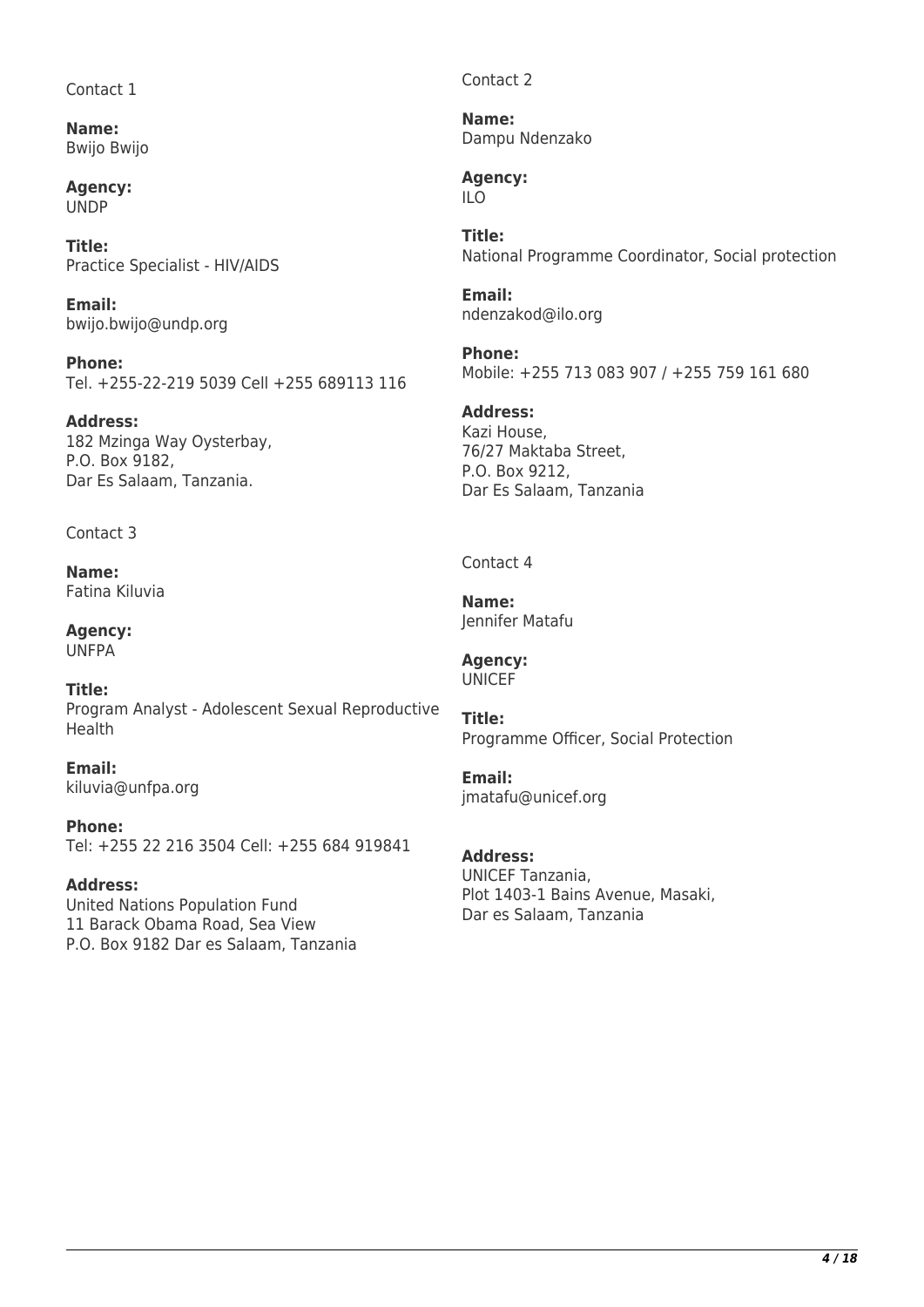Contact 1

**Name:**  Bwijo Bwijo

**Agency:**  UNDP

**Title:**  Practice Specialist - HIV/AIDS

**Email:**  bwijo.bwijo@undp.org

**Phone:**  Tel. +255-22-219 5039 Cell +255 689113 116

**Address:**  182 Mzinga Way Oysterbay, P.O. Box 9182, Dar Es Salaam, Tanzania.

Contact 3

**Name:**  Fatina Kiluvia

**Agency:**  UNFPA

**Title:**  Program Analyst - Adolescent Sexual Reproductive Health

**Email:**  kiluvia@unfpa.org

**Phone:**  Tel: +255 22 216 3504 Cell: +255 684 919841

#### **Address:**

United Nations Population Fund 11 Barack Obama Road, Sea View P.O. Box 9182 Dar es Salaam, Tanzania Contact 2

**Name:**  Dampu Ndenzako

**Agency:**  ILO

**Title:**  National Programme Coordinator, Social protection

**Email:**  ndenzakod@ilo.org

**Phone:**  Mobile: +255 713 083 907 / +255 759 161 680

**Address:**  Kazi House,

76/27 Maktaba Street, P.O. Box 9212, Dar Es Salaam, Tanzania

Contact 4

**Name:**  Jennifer Matafu

**Agency: UNICEF** 

**Title:**  Programme Officer, Social Protection

**Email:**  jmatafu@unicef.org

## **Address:**

UNICEF Tanzania, Plot 1403-1 Bains Avenue, Masaki, Dar es Salaam, Tanzania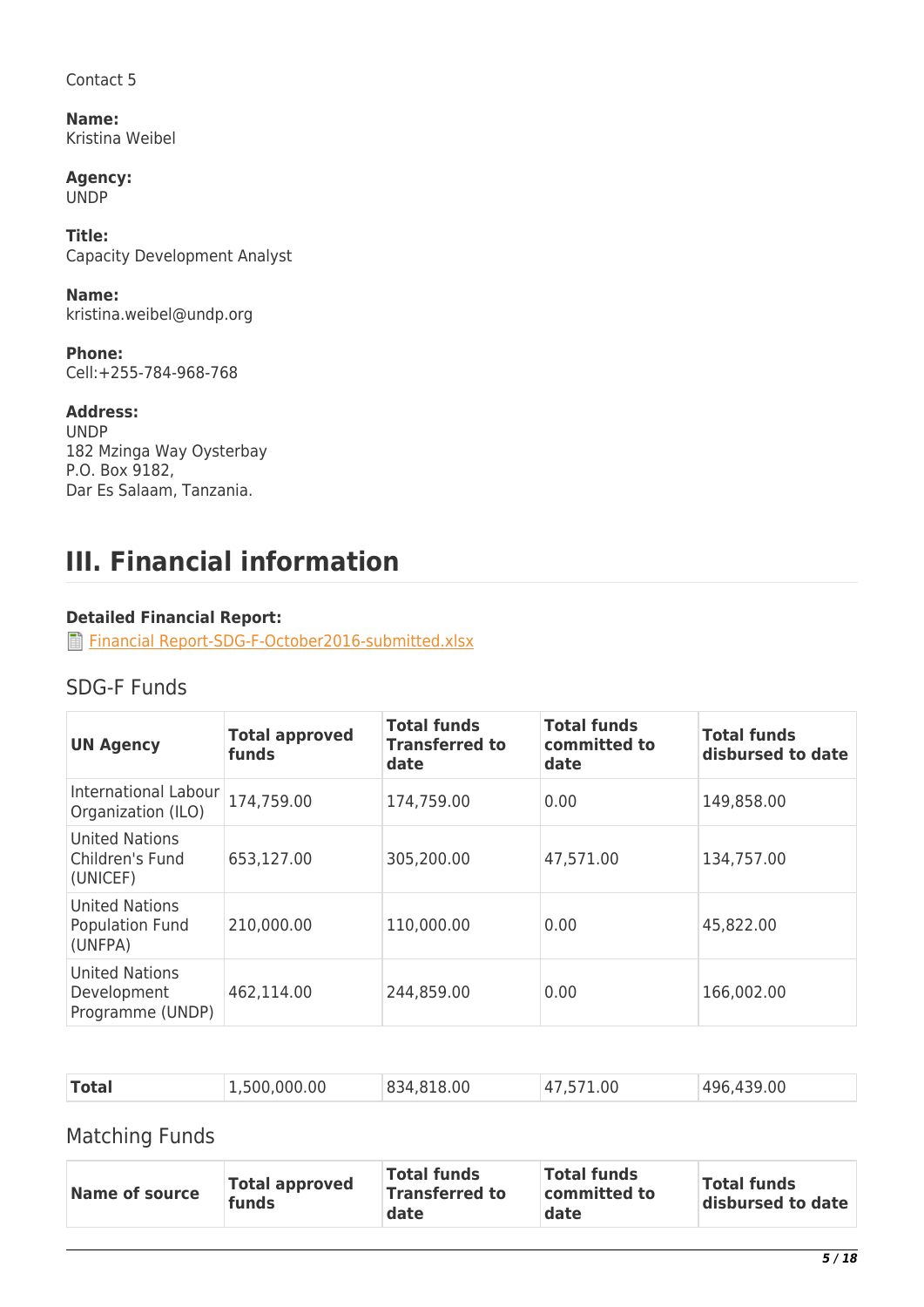Contact 5

**Name:**  Kristina Weibel

**Agency:**  UNDP

**Title:**  Capacity Development Analyst

**Name:**  kristina.weibel@undp.org

**Phone:**  Cell:+255-784-968-768

**Address:**  UNDP 182 Mzinga Way Oysterbay P.O. Box 9182, Dar Es Salaam, Tanzania.

# **III. Financial information**

# **Detailed Financial Report:**

[Financial Report-SDG-F-October2016-submitted.xlsx](http://proposals.sdgfund.org/system/files/report-attachments/Financial%20Report-SDG-F-October2016-submitted.xlsx)

# SDG-F Funds

| <b>UN Agency</b>                                         | <b>Total approved</b><br>funds | <b>Total funds</b><br><b>Transferred to</b><br>date | <b>Total funds</b><br>committed to<br>date | <b>Total funds</b><br>disbursed to date |
|----------------------------------------------------------|--------------------------------|-----------------------------------------------------|--------------------------------------------|-----------------------------------------|
| International Labour<br>Organization (ILO)               | 174,759.00                     | 174,759.00                                          | 0.00                                       | 149,858.00                              |
| United Nations<br>Children's Fund<br>(UNICEF)            | 653,127.00                     | 305,200.00                                          | 47,571.00                                  | 134,757.00                              |
| United Nations<br><b>Population Fund</b><br>(UNFPA)      | 210,000.00                     | 110,000.00                                          | 0.00                                       | 45,822.00                               |
| <b>United Nations</b><br>Development<br>Programme (UNDP) | 462,114.00                     | 244,859.00                                          | 0.00                                       | 166,002.00                              |

| <b>Total</b><br>1,500,000.00<br>496.439.00<br>834,818.00<br>00 |  |  |  |  |  |  |
|----------------------------------------------------------------|--|--|--|--|--|--|
|----------------------------------------------------------------|--|--|--|--|--|--|

Matching Funds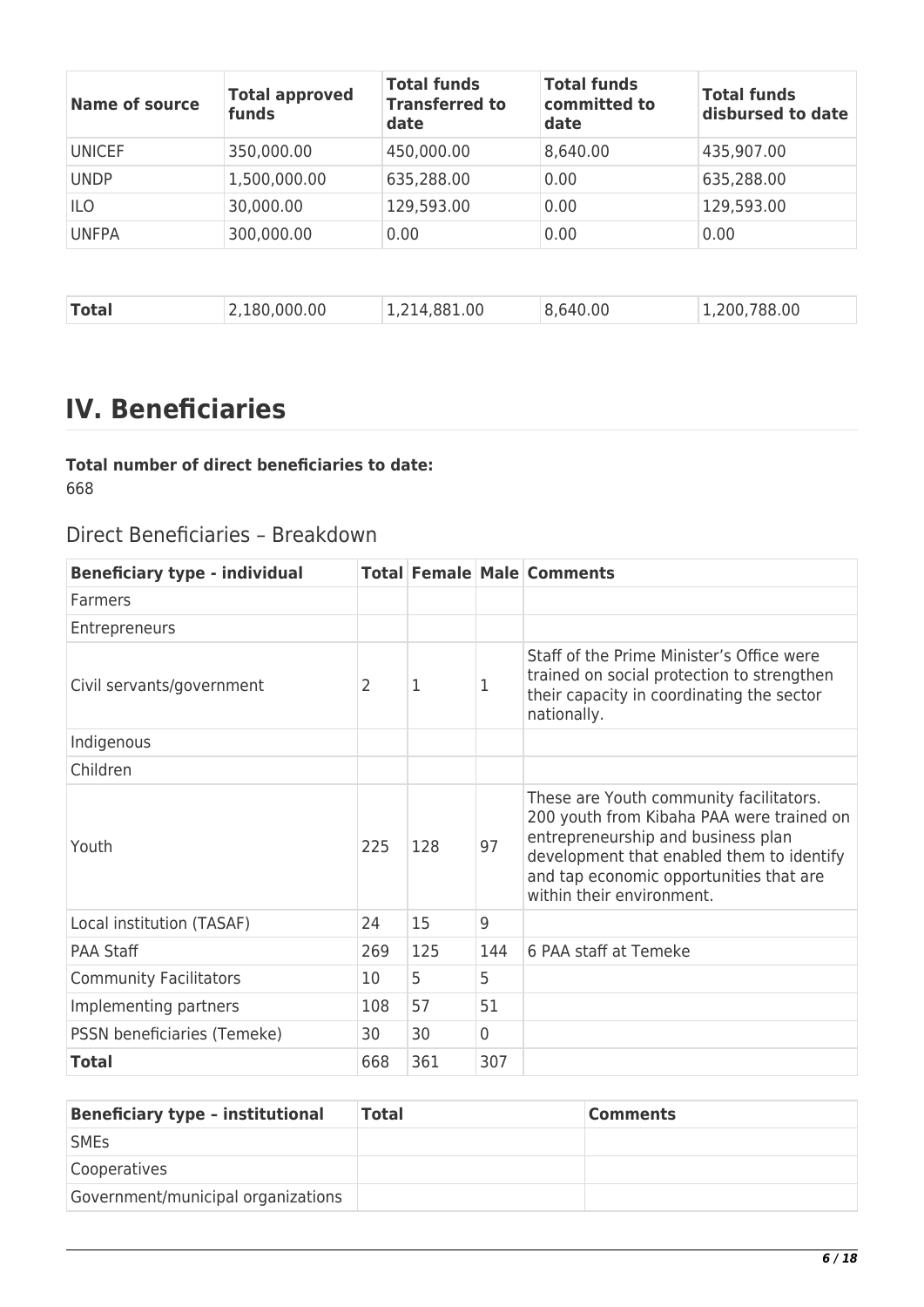| <b>Name of source</b> | <b>Total approved</b><br>funds | <b>Total funds</b><br><b>Transferred to</b><br>date | <b>Total funds</b><br>committed to<br>date | <b>Total funds</b><br>disbursed to date |
|-----------------------|--------------------------------|-----------------------------------------------------|--------------------------------------------|-----------------------------------------|
| <b>UNICEF</b>         | 350,000.00                     | 450,000.00                                          | 8,640.00                                   | 435,907.00                              |
| <b>UNDP</b>           | 1,500,000.00                   | 635,288.00                                          | 0.00                                       | 635,288.00                              |
| <b>ILO</b>            | 30,000.00                      | 129,593.00                                          | 0.00                                       | 129,593.00                              |
| <b>UNFPA</b>          | 300,000.00                     | 0.00                                                | 0.00                                       | 0.00                                    |
|                       |                                |                                                     |                                            |                                         |

| <b>Total</b><br>2,180,000.00<br>8,640.00<br>1,214,881.00<br>1,200,788.00 |
|--------------------------------------------------------------------------|
|--------------------------------------------------------------------------|

# **IV. Beneficiaries**

**Total number of direct beneficiaries to date:**  668

Direct Beneficiaries – Breakdown

| <b>Beneficiary type - individual</b> |     |     |          | <b>Total Female Male Comments</b>                                                                                                                                                                                                               |
|--------------------------------------|-----|-----|----------|-------------------------------------------------------------------------------------------------------------------------------------------------------------------------------------------------------------------------------------------------|
| <b>Farmers</b>                       |     |     |          |                                                                                                                                                                                                                                                 |
| Entrepreneurs                        |     |     |          |                                                                                                                                                                                                                                                 |
| Civil servants/government            | 2   | 1   | 1        | Staff of the Prime Minister's Office were<br>trained on social protection to strengthen<br>their capacity in coordinating the sector<br>nationally.                                                                                             |
| Indigenous                           |     |     |          |                                                                                                                                                                                                                                                 |
| Children                             |     |     |          |                                                                                                                                                                                                                                                 |
| Youth                                | 225 | 128 | 97       | These are Youth community facilitators.<br>200 youth from Kibaha PAA were trained on<br>entrepreneurship and business plan<br>development that enabled them to identify<br>and tap economic opportunities that are<br>within their environment. |
| Local institution (TASAF)            | 24  | 15  | 9        |                                                                                                                                                                                                                                                 |
| <b>PAA Staff</b>                     | 269 | 125 | 144      | 6 PAA staff at Temeke                                                                                                                                                                                                                           |
| <b>Community Facilitators</b>        | 10  | 5   | 5        |                                                                                                                                                                                                                                                 |
| Implementing partners                | 108 | 57  | 51       |                                                                                                                                                                                                                                                 |
| PSSN beneficiaries (Temeke)          | 30  | 30  | $\Omega$ |                                                                                                                                                                                                                                                 |
| <b>Total</b>                         | 668 | 361 | 307      |                                                                                                                                                                                                                                                 |

| <b>Beneficiary type - institutional</b> | <b>Total</b> | <b>Comments</b> |
|-----------------------------------------|--------------|-----------------|
| <b>SME<sub>S</sub></b>                  |              |                 |
| <b>Cooperatives</b>                     |              |                 |
| Government/municipal organizations      |              |                 |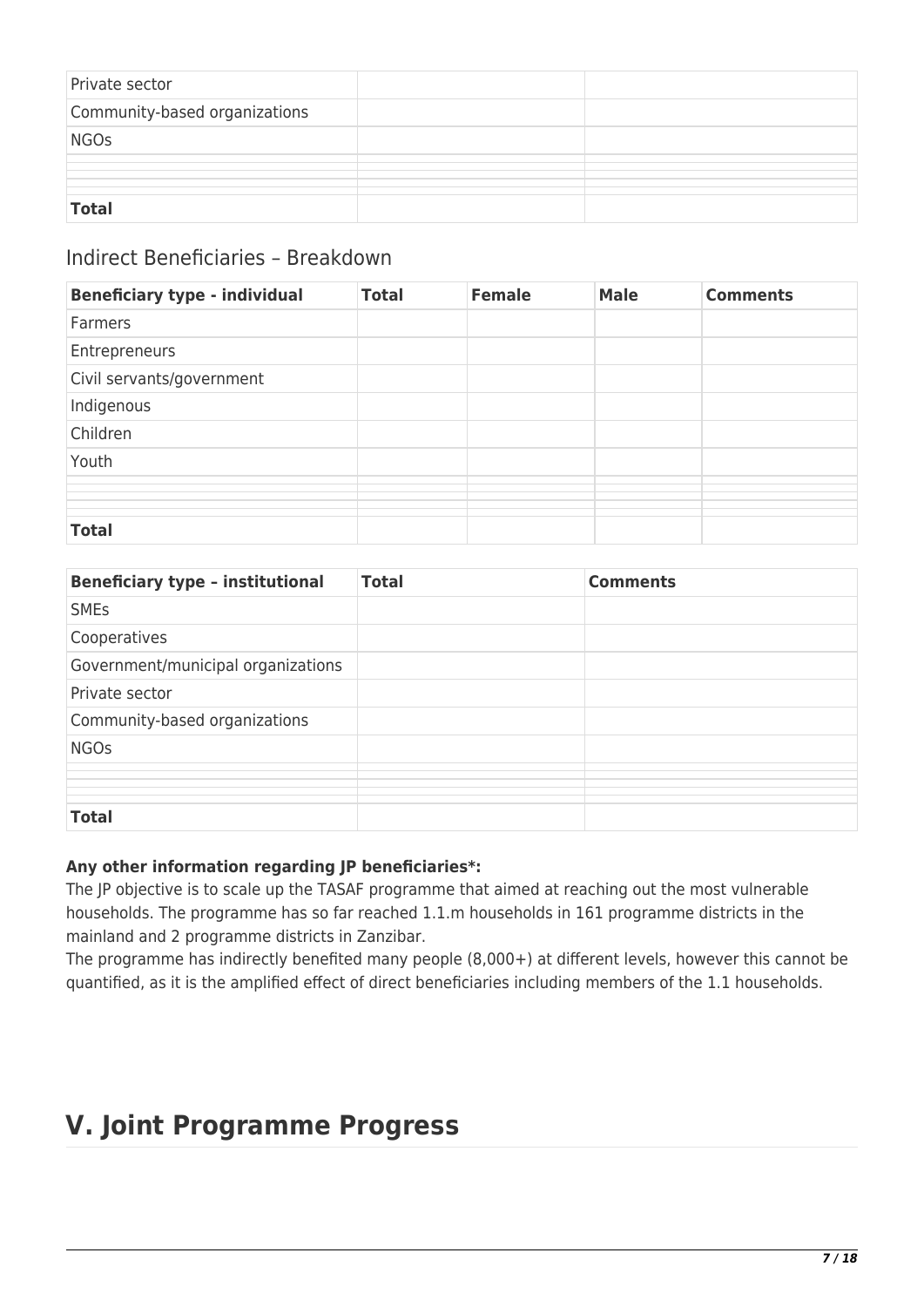| Private sector                |  |
|-------------------------------|--|
| Community-based organizations |  |
| <b>NGOs</b>                   |  |
|                               |  |
| <b>Total</b>                  |  |
|                               |  |

# Indirect Beneficiaries – Breakdown

| <b>Beneficiary type - individual</b> | <b>Total</b> | <b>Female</b> | <b>Male</b> | <b>Comments</b> |
|--------------------------------------|--------------|---------------|-------------|-----------------|
| Farmers                              |              |               |             |                 |
| Entrepreneurs                        |              |               |             |                 |
| Civil servants/government            |              |               |             |                 |
| Indigenous                           |              |               |             |                 |
| Children                             |              |               |             |                 |
| Youth                                |              |               |             |                 |
|                                      |              |               |             |                 |
|                                      |              |               |             |                 |
|                                      |              |               |             |                 |
|                                      |              |               |             |                 |
| <b>Total</b>                         |              |               |             |                 |

| <b>Beneficiary type - institutional</b> | <b>Total</b> | <b>Comments</b> |
|-----------------------------------------|--------------|-----------------|
| <b>SMEs</b>                             |              |                 |
| Cooperatives                            |              |                 |
| Government/municipal organizations      |              |                 |
| Private sector                          |              |                 |
| Community-based organizations           |              |                 |
| <b>NGOs</b>                             |              |                 |
|                                         |              |                 |
|                                         |              |                 |
| <b>Total</b>                            |              |                 |

#### **Any other information regarding JP beneficiaries\*:**

The JP objective is to scale up the TASAF programme that aimed at reaching out the most vulnerable households. The programme has so far reached 1.1.m households in 161 programme districts in the mainland and 2 programme districts in Zanzibar.

The programme has indirectly benefited many people (8,000+) at different levels, however this cannot be quantified, as it is the amplified effect of direct beneficiaries including members of the 1.1 households.

# **V. Joint Programme Progress**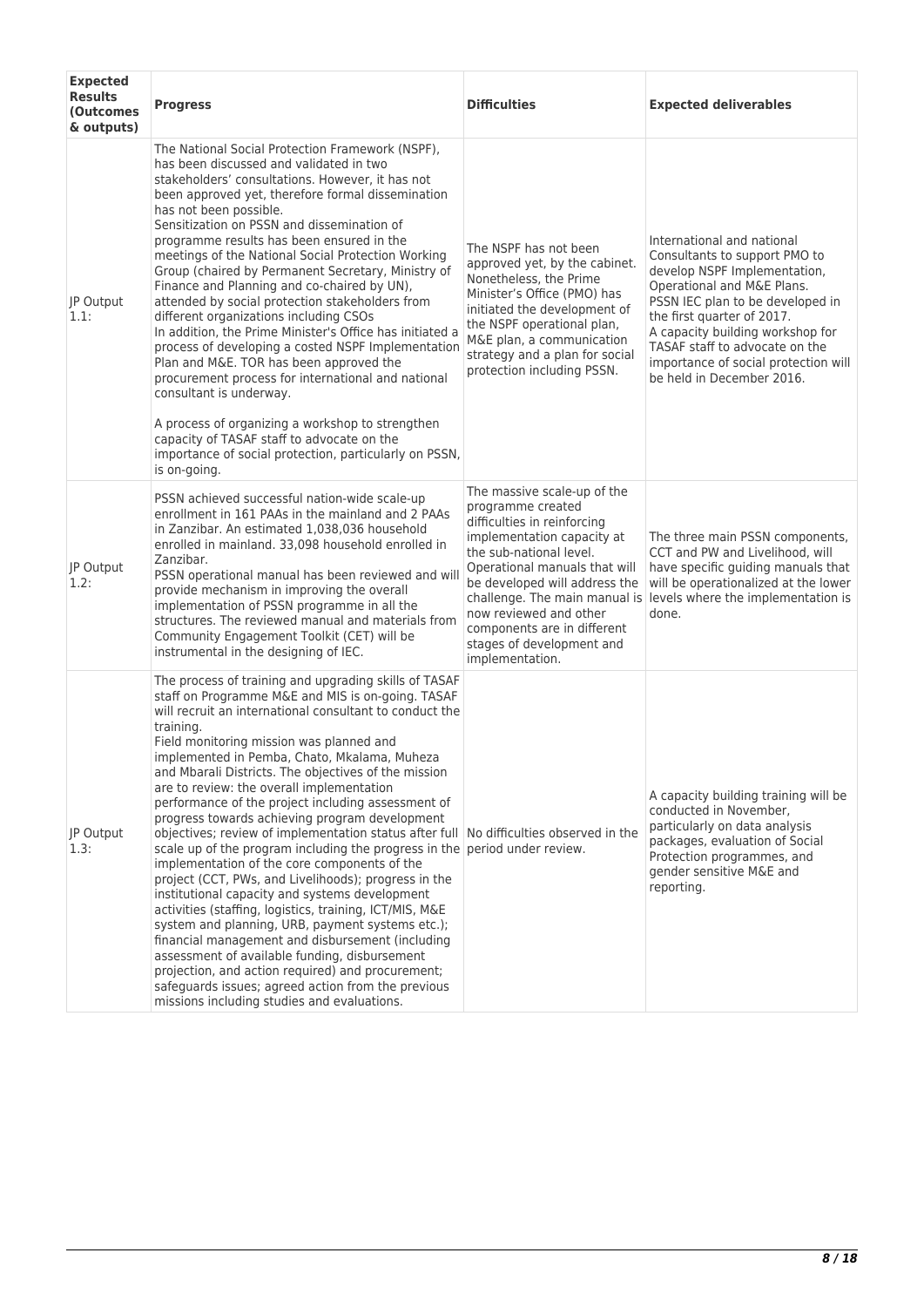| <b>Expected</b><br><b>Results</b><br><b>(Outcomes</b><br>& outputs) | <b>Progress</b>                                                                                                                                                                                                                                                                                                                                                                                                                                                                                                                                                                                                                                                                                                                                                                                                                                                                                                                                                                                                                                                                                                                                                                                               | <b>Difficulties</b>                                                                                                                                                                                                                                                                                                 | <b>Expected deliverables</b>                                                                                                                                                                                                                                                                                                           |
|---------------------------------------------------------------------|---------------------------------------------------------------------------------------------------------------------------------------------------------------------------------------------------------------------------------------------------------------------------------------------------------------------------------------------------------------------------------------------------------------------------------------------------------------------------------------------------------------------------------------------------------------------------------------------------------------------------------------------------------------------------------------------------------------------------------------------------------------------------------------------------------------------------------------------------------------------------------------------------------------------------------------------------------------------------------------------------------------------------------------------------------------------------------------------------------------------------------------------------------------------------------------------------------------|---------------------------------------------------------------------------------------------------------------------------------------------------------------------------------------------------------------------------------------------------------------------------------------------------------------------|----------------------------------------------------------------------------------------------------------------------------------------------------------------------------------------------------------------------------------------------------------------------------------------------------------------------------------------|
| JP Output<br>1.1:                                                   | The National Social Protection Framework (NSPF),<br>has been discussed and validated in two<br>stakeholders' consultations. However, it has not<br>been approved yet, therefore formal dissemination<br>has not been possible.<br>Sensitization on PSSN and dissemination of<br>programme results has been ensured in the<br>meetings of the National Social Protection Working<br>Group (chaired by Permanent Secretary, Ministry of<br>Finance and Planning and co-chaired by UN),<br>attended by social protection stakeholders from<br>different organizations including CSOs<br>In addition, the Prime Minister's Office has initiated a<br>process of developing a costed NSPF Implementation<br>Plan and M&E. TOR has been approved the<br>procurement process for international and national<br>consultant is underway.<br>A process of organizing a workshop to strengthen<br>capacity of TASAF staff to advocate on the<br>importance of social protection, particularly on PSSN,<br>is on-going.                                                                                                                                                                                                   | The NSPF has not been<br>approved yet, by the cabinet.<br>Nonetheless, the Prime<br>Minister's Office (PMO) has<br>initiated the development of<br>the NSPF operational plan,<br>M&E plan, a communication<br>strategy and a plan for social<br>protection including PSSN.                                          | International and national<br>Consultants to support PMO to<br>develop NSPF Implementation,<br>Operational and M&E Plans.<br>PSSN IEC plan to be developed in<br>the first quarter of 2017.<br>A capacity building workshop for<br>TASAF staff to advocate on the<br>importance of social protection will<br>be held in December 2016. |
| JP Output<br>1.2:                                                   | PSSN achieved successful nation-wide scale-up<br>enrollment in 161 PAAs in the mainland and 2 PAAs<br>in Zanzibar. An estimated 1,038,036 household<br>enrolled in mainland. 33,098 household enrolled in<br>Zanzibar.<br>PSSN operational manual has been reviewed and will<br>provide mechanism in improving the overall<br>implementation of PSSN programme in all the<br>structures. The reviewed manual and materials from<br>Community Engagement Toolkit (CET) will be<br>instrumental in the designing of IEC.                                                                                                                                                                                                                                                                                                                                                                                                                                                                                                                                                                                                                                                                                        | The massive scale-up of the<br>programme created<br>difficulties in reinforcing<br>implementation capacity at<br>the sub-national level.<br>Operational manuals that will<br>be developed will address the<br>now reviewed and other<br>components are in different<br>stages of development and<br>implementation. | The three main PSSN components,<br>CCT and PW and Livelihood, will<br>have specific guiding manuals that<br>will be operationalized at the lower<br>challenge. The main manual is levels where the implementation is<br>done.                                                                                                          |
| JP Output<br>1.3:                                                   | The process of training and upgrading skills of TASAF<br>staff on Programme M&E and MIS is on-going. TASAF<br>will recruit an international consultant to conduct the<br>training.<br>Field monitoring mission was planned and<br>implemented in Pemba, Chato, Mkalama, Muheza<br>and Mbarali Districts. The objectives of the mission<br>are to review: the overall implementation<br>performance of the project including assessment of<br>progress towards achieving program development<br>objectives; review of implementation status after full   No difficulties observed in the<br>scale up of the program including the progress in the period under review.<br>implementation of the core components of the<br>project (CCT, PWs, and Livelihoods); progress in the<br>institutional capacity and systems development<br>activities (staffing, logistics, training, ICT/MIS, M&E<br>system and planning, URB, payment systems etc.);<br>financial management and disbursement (including<br>assessment of available funding, disbursement<br>projection, and action required) and procurement;<br>safeguards issues; agreed action from the previous<br>missions including studies and evaluations. |                                                                                                                                                                                                                                                                                                                     | A capacity building training will be<br>conducted in November,<br>particularly on data analysis<br>packages, evaluation of Social<br>Protection programmes, and<br>gender sensitive M&E and<br>reporting.                                                                                                                              |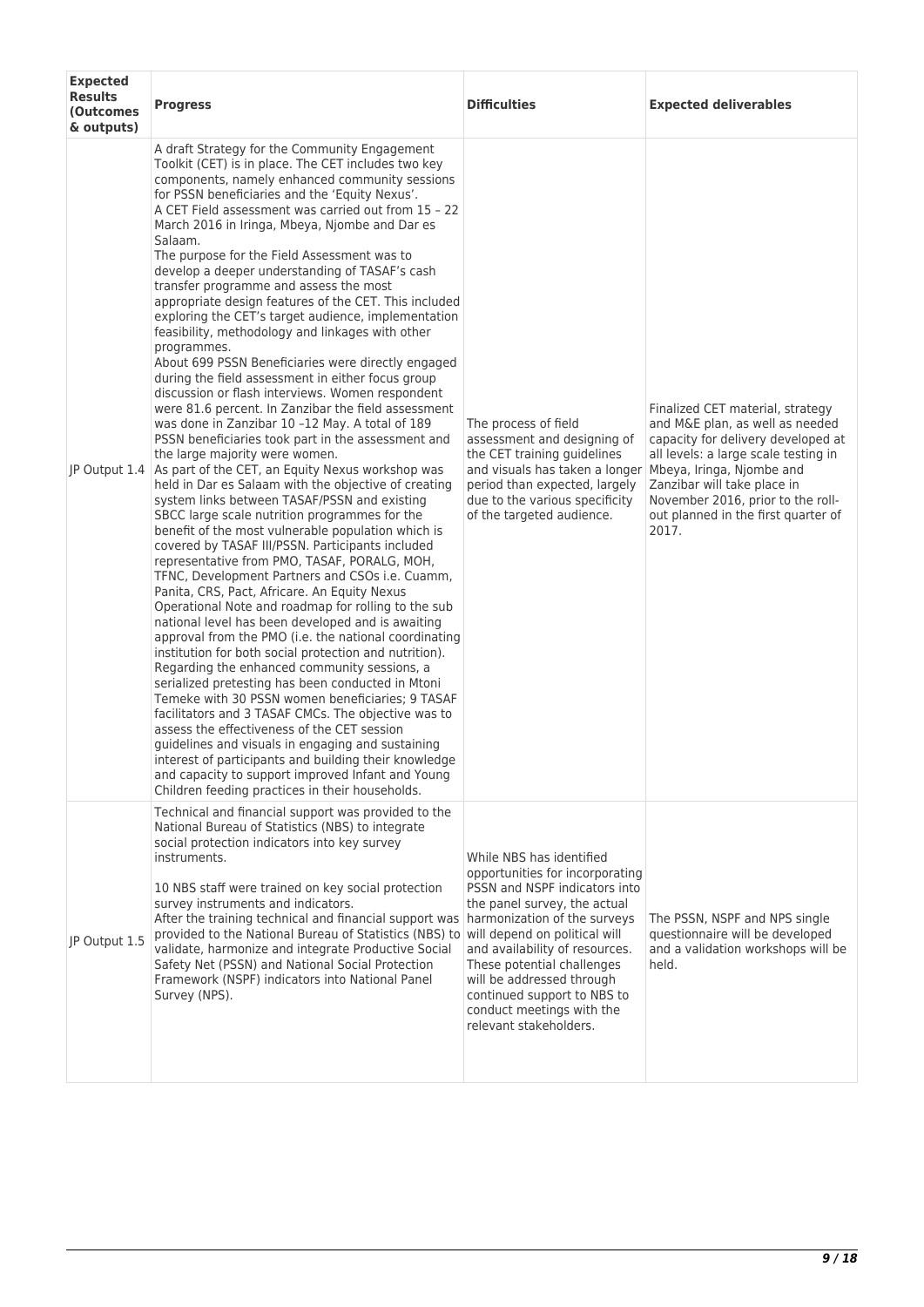| <b>Expected</b><br><b>Results</b><br>(Outcomes<br>& outputs) | <b>Progress</b>                                                                                                                                                                                                                                                                                                                                                                                                                                                                                                                                                                                                                                                                                                                                                                                                                                                                                                                                                                                                                                                                                                                                                                                                                                                                                                                                                                                                                                                                                                                                                                                                                                                                                                                                                                                                                                                                                                                                                                                                                                                                                                                                                                                                           | <b>Difficulties</b>                                                                                                                                                                                                                                                                                             | <b>Expected deliverables</b>                                                                                                                                                                                                                                                                       |
|--------------------------------------------------------------|---------------------------------------------------------------------------------------------------------------------------------------------------------------------------------------------------------------------------------------------------------------------------------------------------------------------------------------------------------------------------------------------------------------------------------------------------------------------------------------------------------------------------------------------------------------------------------------------------------------------------------------------------------------------------------------------------------------------------------------------------------------------------------------------------------------------------------------------------------------------------------------------------------------------------------------------------------------------------------------------------------------------------------------------------------------------------------------------------------------------------------------------------------------------------------------------------------------------------------------------------------------------------------------------------------------------------------------------------------------------------------------------------------------------------------------------------------------------------------------------------------------------------------------------------------------------------------------------------------------------------------------------------------------------------------------------------------------------------------------------------------------------------------------------------------------------------------------------------------------------------------------------------------------------------------------------------------------------------------------------------------------------------------------------------------------------------------------------------------------------------------------------------------------------------------------------------------------------------|-----------------------------------------------------------------------------------------------------------------------------------------------------------------------------------------------------------------------------------------------------------------------------------------------------------------|----------------------------------------------------------------------------------------------------------------------------------------------------------------------------------------------------------------------------------------------------------------------------------------------------|
| JP Output 1.4                                                | A draft Strategy for the Community Engagement<br>Toolkit (CET) is in place. The CET includes two key<br>components, namely enhanced community sessions<br>for PSSN beneficiaries and the 'Equity Nexus'.<br>A CET Field assessment was carried out from 15 - 22<br>March 2016 in Iringa, Mbeya, Njombe and Dar es<br>Salaam.<br>The purpose for the Field Assessment was to<br>develop a deeper understanding of TASAF's cash<br>transfer programme and assess the most<br>appropriate design features of the CET. This included<br>exploring the CET's target audience, implementation<br>feasibility, methodology and linkages with other<br>programmes.<br>About 699 PSSN Beneficiaries were directly engaged<br>during the field assessment in either focus group<br>discussion or flash interviews. Women respondent<br>were 81.6 percent. In Zanzibar the field assessment<br>was done in Zanzibar 10 -12 May. A total of 189<br>PSSN beneficiaries took part in the assessment and<br>the large majority were women.<br>As part of the CET, an Equity Nexus workshop was<br>held in Dar es Salaam with the objective of creating<br>system links between TASAF/PSSN and existing<br>SBCC large scale nutrition programmes for the<br>benefit of the most vulnerable population which is<br>covered by TASAF III/PSSN. Participants included<br>representative from PMO, TASAF, PORALG, MOH,<br>TFNC, Development Partners and CSOs i.e. Cuamm,<br>Panita, CRS, Pact, Africare. An Equity Nexus<br>Operational Note and roadmap for rolling to the sub<br>national level has been developed and is awaiting<br>approval from the PMO (i.e. the national coordinating<br>institution for both social protection and nutrition).<br>Regarding the enhanced community sessions, a<br>serialized pretesting has been conducted in Mtoni<br>Temeke with 30 PSSN women beneficiaries; 9 TASAF<br>facilitators and 3 TASAF CMCs. The objective was to<br>assess the effectiveness of the CET session<br>guidelines and visuals in engaging and sustaining<br>interest of participants and building their knowledge<br>and capacity to support improved Infant and Young<br>Children feeding practices in their households. | The process of field<br>assessment and designing of<br>the CET training guidelines<br>and visuals has taken a longer<br>period than expected, largely<br>due to the various specificity<br>of the targeted audience.                                                                                            | Finalized CET material, strategy<br>and M&E plan, as well as needed<br>capacity for delivery developed at<br>all levels: a large scale testing in<br>Mbeya, Iringa, Njombe and<br>Zanzibar will take place in<br>November 2016, prior to the roll-<br>out planned in the first quarter of<br>2017. |
| JP Output 1.5                                                | Technical and financial support was provided to the<br>National Bureau of Statistics (NBS) to integrate<br>social protection indicators into key survey<br>instruments.<br>10 NBS staff were trained on key social protection<br>survey instruments and indicators.<br>After the training technical and financial support was harmonization of the surveys<br>provided to the National Bureau of Statistics (NBS) to will depend on political will<br>validate, harmonize and integrate Productive Social<br>Safety Net (PSSN) and National Social Protection<br>Framework (NSPF) indicators into National Panel<br>Survey (NPS).                                                                                                                                                                                                                                                                                                                                                                                                                                                                                                                                                                                                                                                                                                                                                                                                                                                                                                                                                                                                                                                                                                                                                                                                                                                                                                                                                                                                                                                                                                                                                                                         | While NBS has identified<br>opportunities for incorporating<br>PSSN and NSPF indicators into<br>the panel survey, the actual<br>and availability of resources.<br>These potential challenges<br>will be addressed through<br>continued support to NBS to<br>conduct meetings with the<br>relevant stakeholders. | The PSSN, NSPF and NPS single<br>questionnaire will be developed<br>and a validation workshops will be<br>held.                                                                                                                                                                                    |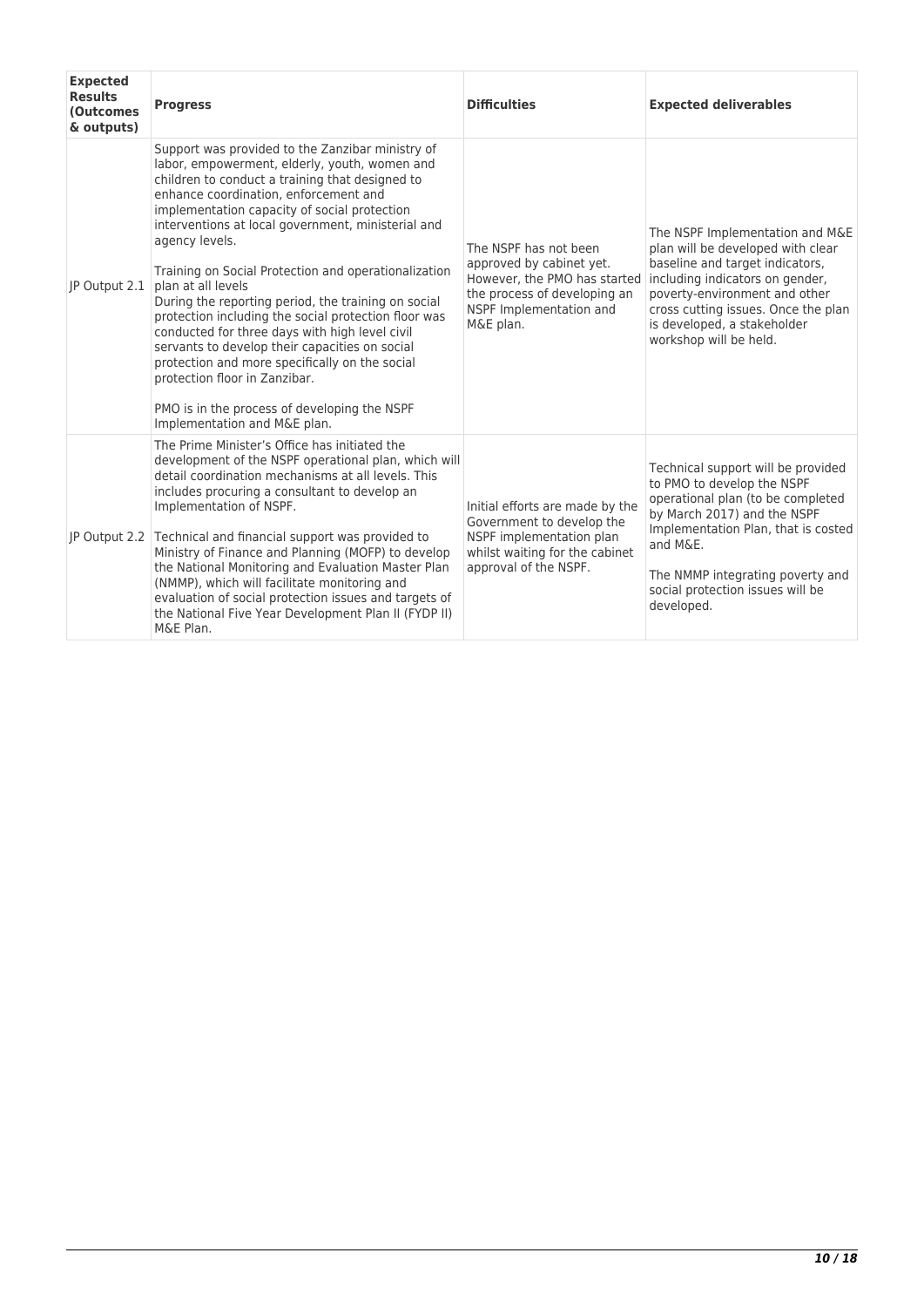| <b>Expected</b><br><b>Results</b><br><b>(Outcomes</b><br>& outputs) | <b>Progress</b>                                                                                                                                                                                                                                                                                                                                                                                                                                                                                                                                                                                                                                                                                                                                                                           | <b>Difficulties</b>                                                                                                                                       | <b>Expected deliverables</b>                                                                                                                                                                                                                                                  |
|---------------------------------------------------------------------|-------------------------------------------------------------------------------------------------------------------------------------------------------------------------------------------------------------------------------------------------------------------------------------------------------------------------------------------------------------------------------------------------------------------------------------------------------------------------------------------------------------------------------------------------------------------------------------------------------------------------------------------------------------------------------------------------------------------------------------------------------------------------------------------|-----------------------------------------------------------------------------------------------------------------------------------------------------------|-------------------------------------------------------------------------------------------------------------------------------------------------------------------------------------------------------------------------------------------------------------------------------|
| IP Output 2.1                                                       | Support was provided to the Zanzibar ministry of<br>labor, empowerment, elderly, youth, women and<br>children to conduct a training that designed to<br>enhance coordination, enforcement and<br>implementation capacity of social protection<br>interventions at local government, ministerial and<br>agency levels.<br>Training on Social Protection and operationalization<br>plan at all levels<br>During the reporting period, the training on social<br>protection including the social protection floor was<br>conducted for three days with high level civil<br>servants to develop their capacities on social<br>protection and more specifically on the social<br>protection floor in Zanzibar.<br>PMO is in the process of developing the NSPF<br>Implementation and M&E plan. | The NSPF has not been<br>approved by cabinet yet.<br>However, the PMO has started<br>the process of developing an<br>NSPF Implementation and<br>M&E plan. | The NSPF Implementation and M&E<br>plan will be developed with clear<br>baseline and target indicators,<br>including indicators on gender,<br>poverty-environment and other<br>cross cutting issues. Once the plan<br>is developed, a stakeholder<br>workshop will be held.   |
| JP Output 2.2                                                       | The Prime Minister's Office has initiated the<br>development of the NSPF operational plan, which will<br>detail coordination mechanisms at all levels. This<br>includes procuring a consultant to develop an<br>Implementation of NSPF.<br>Technical and financial support was provided to<br>Ministry of Finance and Planning (MOFP) to develop<br>the National Monitoring and Evaluation Master Plan<br>(NMMP), which will facilitate monitoring and<br>evaluation of social protection issues and targets of<br>the National Five Year Development Plan II (FYDP II)<br>M&E Plan.                                                                                                                                                                                                      | Initial efforts are made by the<br>Government to develop the<br>NSPF implementation plan<br>whilst waiting for the cabinet<br>approval of the NSPF.       | Technical support will be provided<br>to PMO to develop the NSPF<br>operational plan (to be completed<br>by March 2017) and the NSPF<br>Implementation Plan, that is costed<br>and M&E.<br>The NMMP integrating poverty and<br>social protection issues will be<br>developed. |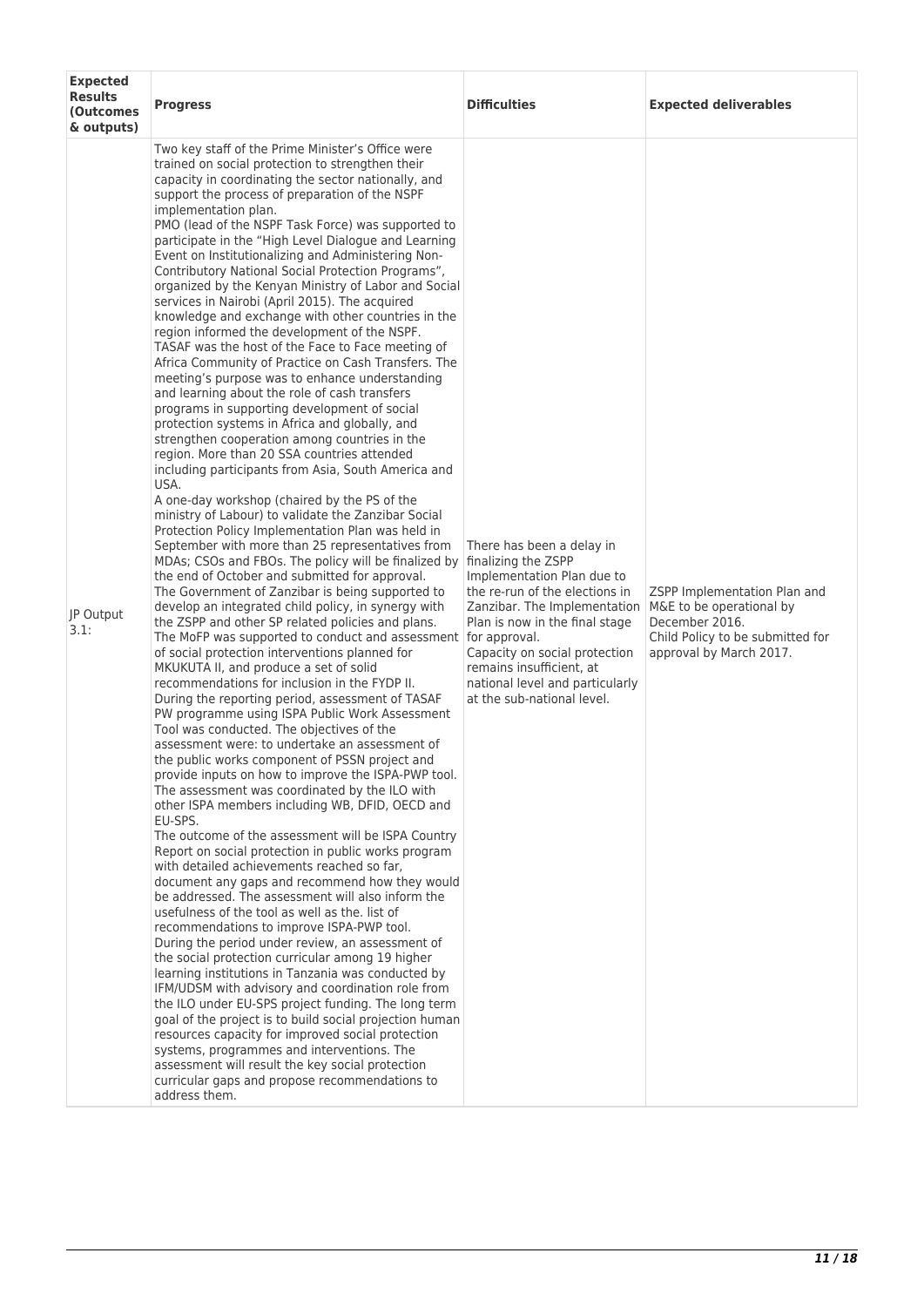| <b>Expected</b><br><b>Results</b><br>(Outcomes<br>& outputs) | <b>Progress</b>                                                                                                                                                                                                                                                                                                                                                                                                                                                                                                                                                                                                                                                                                                                                                                                                                                                                                                                                                                                                                                                                                                                                                                                                                                                                                                                                                                                                                                                                                                                                                                                                                                                                                                                                                                                                                                                                                                                                                                                                                                                                                                                                                                                                                                                                                                                                                                                                                                                                                                                                                                                                                                                                                                                                                                                                                                                                                                                                                                                                                                                                                                                                                                                                           | <b>Difficulties</b>                                                                                                                                                                                                                                                                                                               | <b>Expected deliverables</b>                                                                                                              |
|--------------------------------------------------------------|---------------------------------------------------------------------------------------------------------------------------------------------------------------------------------------------------------------------------------------------------------------------------------------------------------------------------------------------------------------------------------------------------------------------------------------------------------------------------------------------------------------------------------------------------------------------------------------------------------------------------------------------------------------------------------------------------------------------------------------------------------------------------------------------------------------------------------------------------------------------------------------------------------------------------------------------------------------------------------------------------------------------------------------------------------------------------------------------------------------------------------------------------------------------------------------------------------------------------------------------------------------------------------------------------------------------------------------------------------------------------------------------------------------------------------------------------------------------------------------------------------------------------------------------------------------------------------------------------------------------------------------------------------------------------------------------------------------------------------------------------------------------------------------------------------------------------------------------------------------------------------------------------------------------------------------------------------------------------------------------------------------------------------------------------------------------------------------------------------------------------------------------------------------------------------------------------------------------------------------------------------------------------------------------------------------------------------------------------------------------------------------------------------------------------------------------------------------------------------------------------------------------------------------------------------------------------------------------------------------------------------------------------------------------------------------------------------------------------------------------------------------------------------------------------------------------------------------------------------------------------------------------------------------------------------------------------------------------------------------------------------------------------------------------------------------------------------------------------------------------------------------------------------------------------------------------------------------------------|-----------------------------------------------------------------------------------------------------------------------------------------------------------------------------------------------------------------------------------------------------------------------------------------------------------------------------------|-------------------------------------------------------------------------------------------------------------------------------------------|
| JP Output<br>3.1:                                            | Two key staff of the Prime Minister's Office were<br>trained on social protection to strengthen their<br>capacity in coordinating the sector nationally, and<br>support the process of preparation of the NSPF<br>implementation plan.<br>PMO (lead of the NSPF Task Force) was supported to<br>participate in the "High Level Dialogue and Learning<br>Event on Institutionalizing and Administering Non-<br>Contributory National Social Protection Programs",<br>organized by the Kenyan Ministry of Labor and Social<br>services in Nairobi (April 2015). The acquired<br>knowledge and exchange with other countries in the<br>region informed the development of the NSPF.<br>TASAF was the host of the Face to Face meeting of<br>Africa Community of Practice on Cash Transfers. The<br>meeting's purpose was to enhance understanding<br>and learning about the role of cash transfers<br>programs in supporting development of social<br>protection systems in Africa and globally, and<br>strengthen cooperation among countries in the<br>region. More than 20 SSA countries attended<br>including participants from Asia, South America and<br>USA.<br>A one-day workshop (chaired by the PS of the<br>ministry of Labour) to validate the Zanzibar Social<br>Protection Policy Implementation Plan was held in<br>September with more than 25 representatives from<br>MDAs; CSOs and FBOs. The policy will be finalized by<br>the end of October and submitted for approval.<br>The Government of Zanzibar is being supported to<br>develop an integrated child policy, in synergy with<br>the ZSPP and other SP related policies and plans.<br>The MoFP was supported to conduct and assessment<br>of social protection interventions planned for<br>MKUKUTA II, and produce a set of solid<br>recommendations for inclusion in the FYDP II.<br>During the reporting period, assessment of TASAF<br>PW programme using ISPA Public Work Assessment<br>Tool was conducted. The objectives of the<br>assessment were: to undertake an assessment of<br>the public works component of PSSN project and<br>provide inputs on how to improve the ISPA-PWP tool.<br>The assessment was coordinated by the ILO with<br>other ISPA members including WB, DFID, OECD and<br>EU-SPS.<br>The outcome of the assessment will be ISPA Country<br>Report on social protection in public works program<br>with detailed achievements reached so far,<br>document any gaps and recommend how they would<br>be addressed. The assessment will also inform the<br>usefulness of the tool as well as the, list of<br>recommendations to improve ISPA-PWP tool.<br>During the period under review, an assessment of<br>the social protection curricular among 19 higher<br>learning institutions in Tanzania was conducted by<br>IFM/UDSM with advisory and coordination role from<br>the ILO under EU-SPS project funding. The long term<br>goal of the project is to build social projection human<br>resources capacity for improved social protection<br>systems, programmes and interventions. The<br>assessment will result the key social protection<br>curricular gaps and propose recommendations to<br>address them. | There has been a delay in<br>finalizing the ZSPP<br>Implementation Plan due to<br>the re-run of the elections in<br>Zanzibar. The Implementation<br>Plan is now in the final stage<br>for approval.<br>Capacity on social protection<br>remains insufficient, at<br>national level and particularly<br>at the sub-national level. | ZSPP Implementation Plan and<br>M&E to be operational by<br>December 2016.<br>Child Policy to be submitted for<br>approval by March 2017. |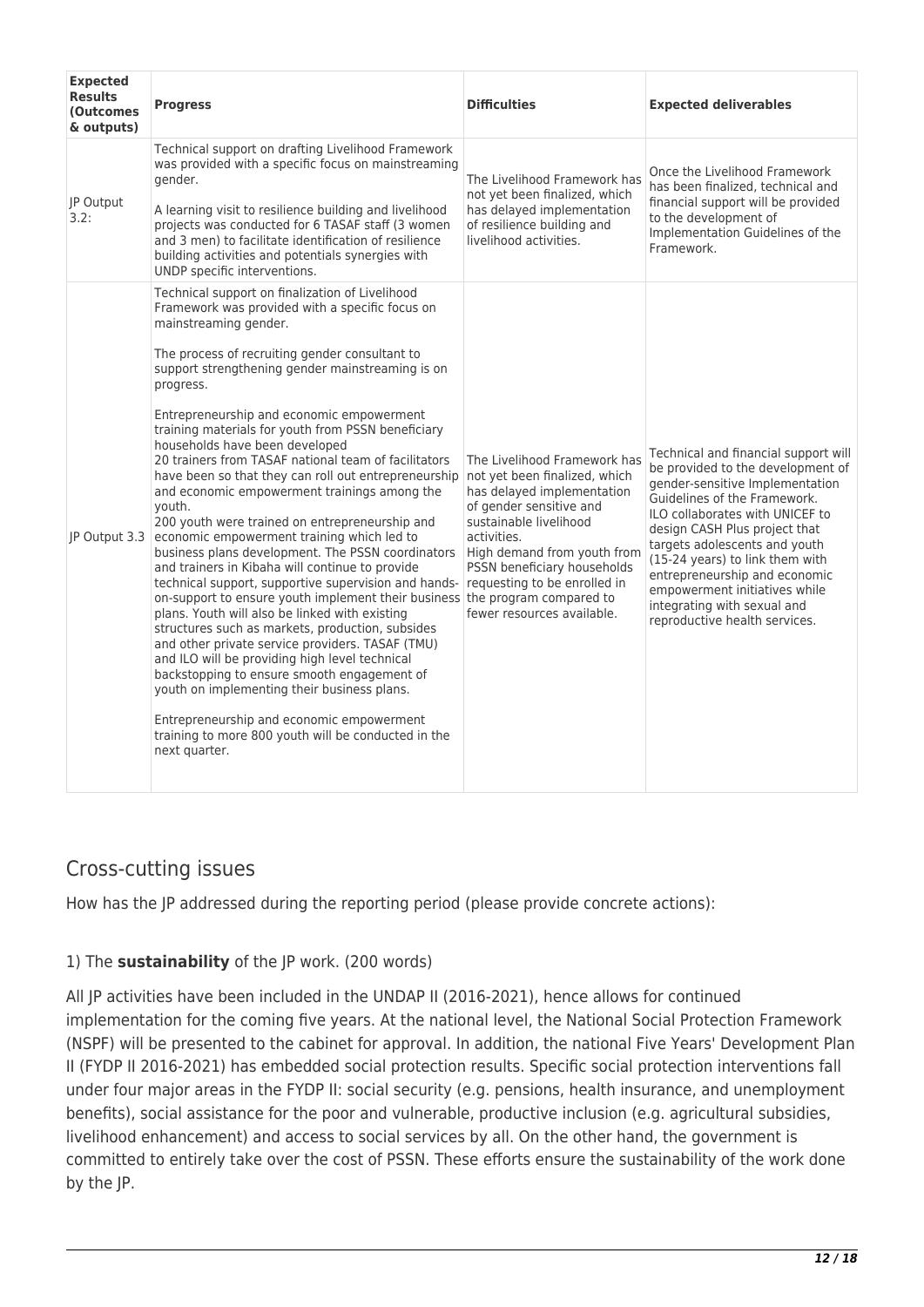| <b>Expected</b><br><b>Results</b><br><b>(Outcomes</b><br>& outputs) | <b>Progress</b>                                                                                                                                                                                                                                                                                                                                                                                                                                                                                                                                                                                                                                                                                                                                                                                                                                                                                                                                                                                                                                                                                                                                                                                                                                                                                                                             | <b>Difficulties</b>                                                                                                                                                                                                                                                                         | <b>Expected deliverables</b>                                                                                                                                                                                                                                                                                                                                                                                           |
|---------------------------------------------------------------------|---------------------------------------------------------------------------------------------------------------------------------------------------------------------------------------------------------------------------------------------------------------------------------------------------------------------------------------------------------------------------------------------------------------------------------------------------------------------------------------------------------------------------------------------------------------------------------------------------------------------------------------------------------------------------------------------------------------------------------------------------------------------------------------------------------------------------------------------------------------------------------------------------------------------------------------------------------------------------------------------------------------------------------------------------------------------------------------------------------------------------------------------------------------------------------------------------------------------------------------------------------------------------------------------------------------------------------------------|---------------------------------------------------------------------------------------------------------------------------------------------------------------------------------------------------------------------------------------------------------------------------------------------|------------------------------------------------------------------------------------------------------------------------------------------------------------------------------------------------------------------------------------------------------------------------------------------------------------------------------------------------------------------------------------------------------------------------|
| JP Output<br>3.2:                                                   | Technical support on drafting Livelihood Framework<br>was provided with a specific focus on mainstreaming<br>gender.<br>A learning visit to resilience building and livelihood<br>projects was conducted for 6 TASAF staff (3 women<br>and 3 men) to facilitate identification of resilience<br>building activities and potentials synergies with<br>UNDP specific interventions.                                                                                                                                                                                                                                                                                                                                                                                                                                                                                                                                                                                                                                                                                                                                                                                                                                                                                                                                                           | The Livelihood Framework has<br>not yet been finalized, which<br>has delayed implementation<br>of resilience building and<br>livelihood activities.                                                                                                                                         | Once the Livelihood Framework<br>has been finalized, technical and<br>financial support will be provided<br>to the development of<br>Implementation Guidelines of the<br>Framework.                                                                                                                                                                                                                                    |
| JP Output 3.3                                                       | Technical support on finalization of Livelihood<br>Framework was provided with a specific focus on<br>mainstreaming gender.<br>The process of recruiting gender consultant to<br>support strengthening gender mainstreaming is on<br>progress.<br>Entrepreneurship and economic empowerment<br>training materials for youth from PSSN beneficiary<br>households have been developed<br>20 trainers from TASAF national team of facilitators<br>have been so that they can roll out entrepreneurship<br>and economic empowerment trainings among the<br>youth.<br>200 youth were trained on entrepreneurship and<br>economic empowerment training which led to<br>business plans development. The PSSN coordinators<br>and trainers in Kibaha will continue to provide<br>technical support, supportive supervision and hands-<br>on-support to ensure youth implement their business the program compared to<br>plans. Youth will also be linked with existing<br>structures such as markets, production, subsides<br>and other private service providers. TASAF (TMU)<br>and ILO will be providing high level technical<br>backstopping to ensure smooth engagement of<br>youth on implementing their business plans.<br>Entrepreneurship and economic empowerment<br>training to more 800 youth will be conducted in the<br>next quarter. | The Livelihood Framework has<br>not yet been finalized, which<br>has delayed implementation<br>of gender sensitive and<br>sustainable livelihood<br>activities.<br>High demand from youth from<br>PSSN beneficiary households<br>requesting to be enrolled in<br>fewer resources available. | Technical and financial support will<br>be provided to the development of<br>gender-sensitive Implementation<br>Guidelines of the Framework.<br>ILO collaborates with UNICEF to<br>design CASH Plus project that<br>targets adolescents and youth<br>(15-24 years) to link them with<br>entrepreneurship and economic<br>empowerment initiatives while<br>integrating with sexual and<br>reproductive health services. |

# Cross-cutting issues

How has the JP addressed during the reporting period (please provide concrete actions):

## 1) The **sustainability** of the JP work. (200 words)

All JP activities have been included in the UNDAP II (2016-2021), hence allows for continued implementation for the coming five years. At the national level, the National Social Protection Framework (NSPF) will be presented to the cabinet for approval. In addition, the national Five Years' Development Plan II (FYDP II 2016-2021) has embedded social protection results. Specific social protection interventions fall under four major areas in the FYDP II: social security (e.g. pensions, health insurance, and unemployment benefits), social assistance for the poor and vulnerable, productive inclusion (e.g. agricultural subsidies, livelihood enhancement) and access to social services by all. On the other hand, the government is committed to entirely take over the cost of PSSN. These efforts ensure the sustainability of the work done by the JP.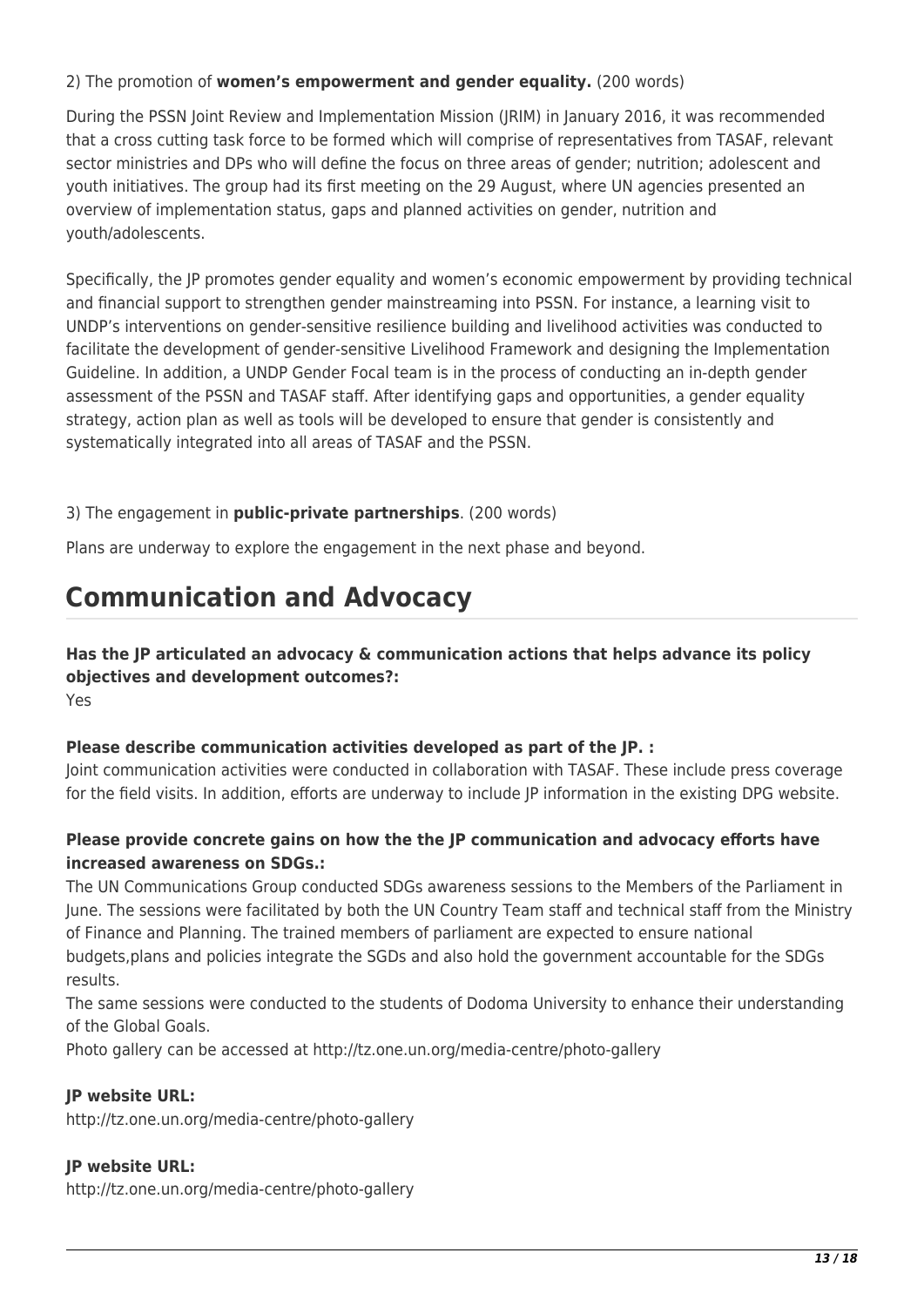## 2) The promotion of **women's empowerment and gender equality.** (200 words)

During the PSSN Joint Review and Implementation Mission (JRIM) in January 2016, it was recommended that a cross cutting task force to be formed which will comprise of representatives from TASAF, relevant sector ministries and DPs who will define the focus on three areas of gender; nutrition; adolescent and youth initiatives. The group had its first meeting on the 29 August, where UN agencies presented an overview of implementation status, gaps and planned activities on gender, nutrition and youth/adolescents.

Specifically, the JP promotes gender equality and women's economic empowerment by providing technical and financial support to strengthen gender mainstreaming into PSSN. For instance, a learning visit to UNDP's interventions on gender-sensitive resilience building and livelihood activities was conducted to facilitate the development of gender-sensitive Livelihood Framework and designing the Implementation Guideline. In addition, a UNDP Gender Focal team is in the process of conducting an in-depth gender assessment of the PSSN and TASAF staff. After identifying gaps and opportunities, a gender equality strategy, action plan as well as tools will be developed to ensure that gender is consistently and systematically integrated into all areas of TASAF and the PSSN.

# 3) The engagement in **public-private partnerships**. (200 words)

Plans are underway to explore the engagement in the next phase and beyond.

# **Communication and Advocacy**

**Has the JP articulated an advocacy & communication actions that helps advance its policy objectives and development outcomes?:**  Yes

## **Please describe communication activities developed as part of the JP. :**

Joint communication activities were conducted in collaboration with TASAF. These include press coverage for the field visits. In addition, efforts are underway to include JP information in the existing DPG website.

# **Please provide concrete gains on how the the JP communication and advocacy efforts have increased awareness on SDGs.:**

The UN Communications Group conducted SDGs awareness sessions to the Members of the Parliament in June. The sessions were facilitated by both the UN Country Team staff and technical staff from the Ministry of Finance and Planning. The trained members of parliament are expected to ensure national budgets,plans and policies integrate the SGDs and also hold the government accountable for the SDGs results.

The same sessions were conducted to the students of Dodoma University to enhance their understanding of the Global Goals.

Photo gallery can be accessed at http://tz.one.un.org/media-centre/photo-gallery

## **JP website URL:**

http://tz.one.un.org/media-centre/photo-gallery

## **JP website URL:**

http://tz.one.un.org/media-centre/photo-gallery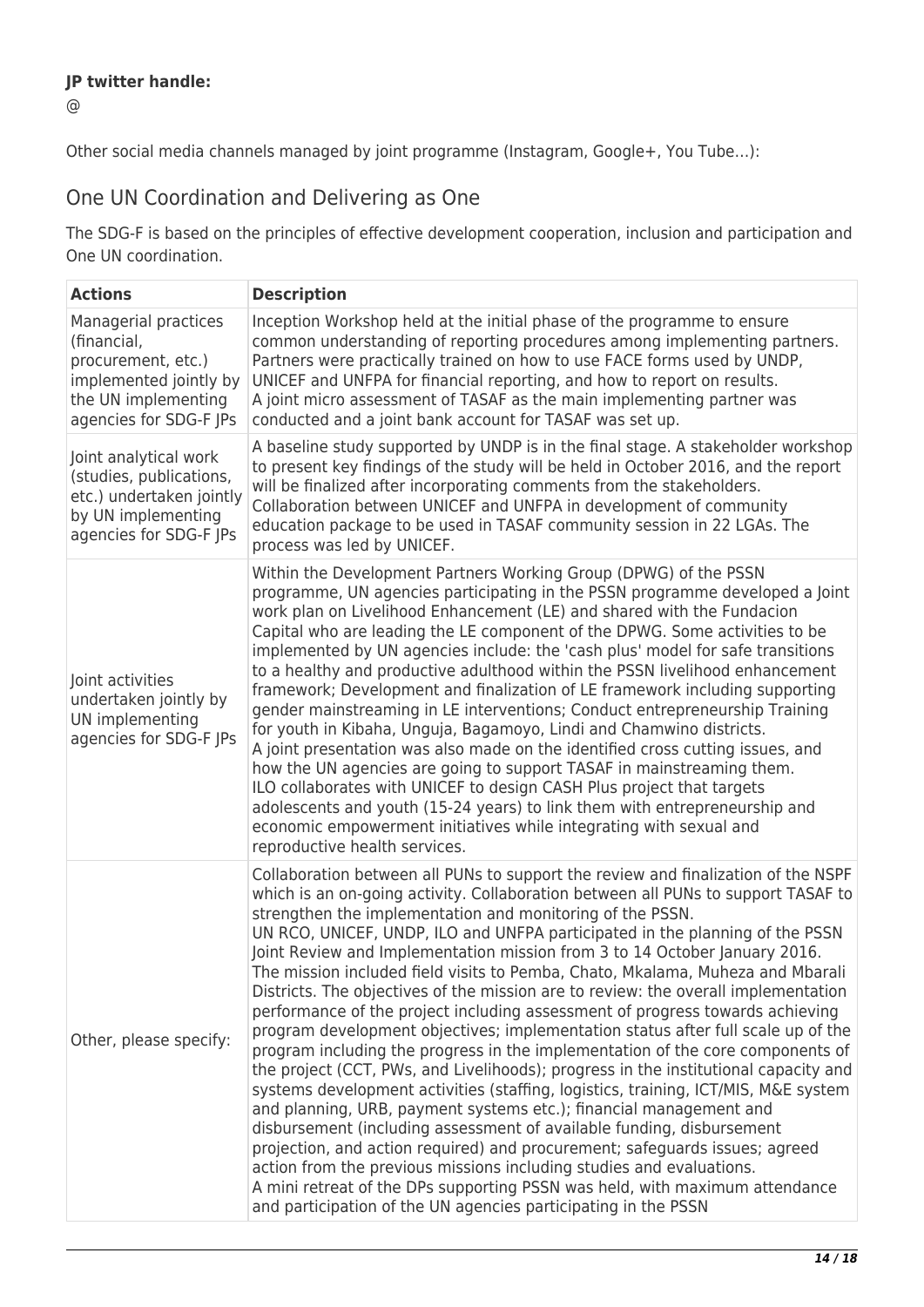## **JP twitter handle:**

@

Other social media channels managed by joint programme (Instagram, Google+, You Tube…):

# One UN Coordination and Delivering as One

The SDG-F is based on the principles of effective development cooperation, inclusion and participation and One UN coordination.

| <b>Actions</b>                                                                                                                       | <b>Description</b>                                                                                                                                                                                                                                                                                                                                                                                                                                                                                                                                                                                                                                                                                                                                                                                                                                                                                                                                                                                                                                                                                                                                                                                                                                                                                                                                                                                                                                                   |
|--------------------------------------------------------------------------------------------------------------------------------------|----------------------------------------------------------------------------------------------------------------------------------------------------------------------------------------------------------------------------------------------------------------------------------------------------------------------------------------------------------------------------------------------------------------------------------------------------------------------------------------------------------------------------------------------------------------------------------------------------------------------------------------------------------------------------------------------------------------------------------------------------------------------------------------------------------------------------------------------------------------------------------------------------------------------------------------------------------------------------------------------------------------------------------------------------------------------------------------------------------------------------------------------------------------------------------------------------------------------------------------------------------------------------------------------------------------------------------------------------------------------------------------------------------------------------------------------------------------------|
| Managerial practices<br>(financial,<br>procurement, etc.)<br>implemented jointly by<br>the UN implementing<br>agencies for SDG-F JPs | Inception Workshop held at the initial phase of the programme to ensure<br>common understanding of reporting procedures among implementing partners.<br>Partners were practically trained on how to use FACE forms used by UNDP,<br>UNICEF and UNFPA for financial reporting, and how to report on results.<br>A joint micro assessment of TASAF as the main implementing partner was<br>conducted and a joint bank account for TASAF was set up.                                                                                                                                                                                                                                                                                                                                                                                                                                                                                                                                                                                                                                                                                                                                                                                                                                                                                                                                                                                                                    |
| Joint analytical work<br>(studies, publications,<br>etc.) undertaken jointly<br>by UN implementing<br>agencies for SDG-F JPs         | A baseline study supported by UNDP is in the final stage. A stakeholder workshop<br>to present key findings of the study will be held in October 2016, and the report<br>will be finalized after incorporating comments from the stakeholders.<br>Collaboration between UNICEF and UNFPA in development of community<br>education package to be used in TASAF community session in 22 LGAs. The<br>process was led by UNICEF.                                                                                                                                                                                                                                                                                                                                                                                                                                                                                                                                                                                                                                                                                                                                                                                                                                                                                                                                                                                                                                        |
| Joint activities<br>undertaken jointly by<br>UN implementing<br>agencies for SDG-F JPs                                               | Within the Development Partners Working Group (DPWG) of the PSSN<br>programme, UN agencies participating in the PSSN programme developed a Joint<br>work plan on Livelihood Enhancement (LE) and shared with the Fundacion<br>Capital who are leading the LE component of the DPWG. Some activities to be<br>implemented by UN agencies include: the 'cash plus' model for safe transitions<br>to a healthy and productive adulthood within the PSSN livelihood enhancement<br>framework; Development and finalization of LE framework including supporting<br>gender mainstreaming in LE interventions; Conduct entrepreneurship Training<br>for youth in Kibaha, Unguja, Bagamoyo, Lindi and Chamwino districts.<br>A joint presentation was also made on the identified cross cutting issues, and<br>how the UN agencies are going to support TASAF in mainstreaming them.<br>ILO collaborates with UNICEF to design CASH Plus project that targets<br>adolescents and youth (15-24 years) to link them with entrepreneurship and<br>economic empowerment initiatives while integrating with sexual and<br>reproductive health services.                                                                                                                                                                                                                                                                                                                          |
| Other, please specify:                                                                                                               | Collaboration between all PUNs to support the review and finalization of the NSPF<br>which is an on-going activity. Collaboration between all PUNs to support TASAF to<br>strengthen the implementation and monitoring of the PSSN.<br>UN RCO, UNICEF, UNDP, ILO and UNFPA participated in the planning of the PSSN<br>Joint Review and Implementation mission from 3 to 14 October January 2016.<br>The mission included field visits to Pemba, Chato, Mkalama, Muheza and Mbarali<br>Districts. The objectives of the mission are to review: the overall implementation<br>performance of the project including assessment of progress towards achieving<br>program development objectives; implementation status after full scale up of the<br>program including the progress in the implementation of the core components of<br>the project (CCT, PWs, and Livelihoods); progress in the institutional capacity and<br>systems development activities (staffing, logistics, training, ICT/MIS, M&E system<br>and planning, URB, payment systems etc.); financial management and<br>disbursement (including assessment of available funding, disbursement<br>projection, and action required) and procurement; safeguards issues; agreed<br>action from the previous missions including studies and evaluations.<br>A mini retreat of the DPs supporting PSSN was held, with maximum attendance<br>and participation of the UN agencies participating in the PSSN |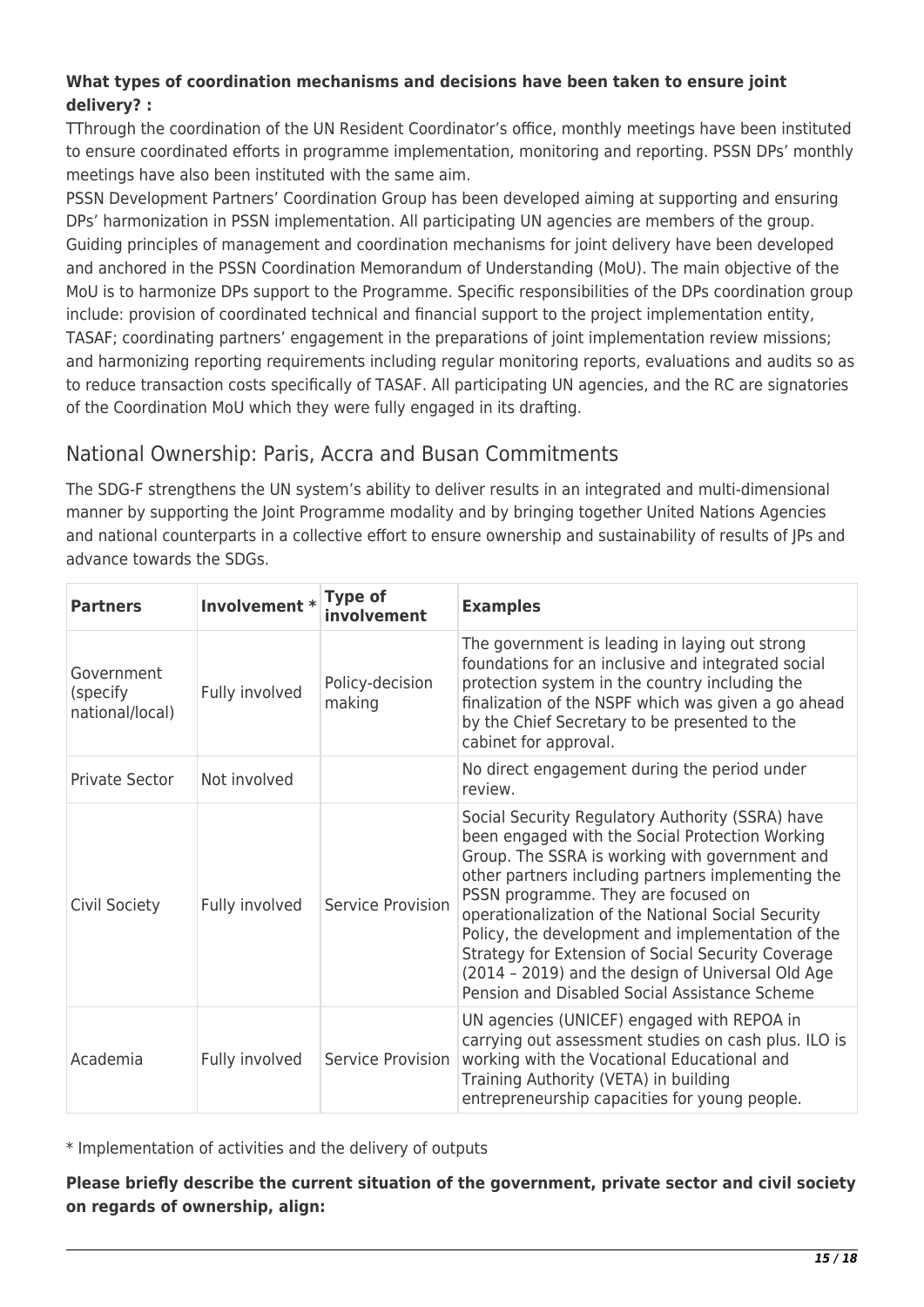### **What types of coordination mechanisms and decisions have been taken to ensure joint delivery? :**

TThrough the coordination of the UN Resident Coordinator's office, monthly meetings have been instituted to ensure coordinated efforts in programme implementation, monitoring and reporting. PSSN DPs' monthly meetings have also been instituted with the same aim.

PSSN Development Partners' Coordination Group has been developed aiming at supporting and ensuring DPs' harmonization in PSSN implementation. All participating UN agencies are members of the group. Guiding principles of management and coordination mechanisms for joint delivery have been developed and anchored in the PSSN Coordination Memorandum of Understanding (MoU). The main objective of the MoU is to harmonize DPs support to the Programme. Specific responsibilities of the DPs coordination group include: provision of coordinated technical and financial support to the project implementation entity, TASAF; coordinating partners' engagement in the preparations of joint implementation review missions; and harmonizing reporting requirements including regular monitoring reports, evaluations and audits so as to reduce transaction costs specifically of TASAF. All participating UN agencies, and the RC are signatories of the Coordination MoU which they were fully engaged in its drafting.

# National Ownership: Paris, Accra and Busan Commitments

The SDG-F strengthens the UN system's ability to deliver results in an integrated and multi-dimensional manner by supporting the Joint Programme modality and by bringing together United Nations Agencies and national counterparts in a collective effort to ensure ownership and sustainability of results of JPs and advance towards the SDGs.

| <b>Partners</b>                            | Involvement *  | <b>Type of</b><br>involvement | <b>Examples</b>                                                                                                                                                                                                                                                                                                                                                                                                                                                                                                           |
|--------------------------------------------|----------------|-------------------------------|---------------------------------------------------------------------------------------------------------------------------------------------------------------------------------------------------------------------------------------------------------------------------------------------------------------------------------------------------------------------------------------------------------------------------------------------------------------------------------------------------------------------------|
| Government<br>(specify)<br>national/local) | Fully involved | Policy-decision<br>making     | The government is leading in laying out strong<br>foundations for an inclusive and integrated social<br>protection system in the country including the<br>finalization of the NSPF which was given a go ahead<br>by the Chief Secretary to be presented to the<br>cabinet for approval.                                                                                                                                                                                                                                   |
| <b>Private Sector</b>                      | Not involved   |                               | No direct engagement during the period under<br>review.                                                                                                                                                                                                                                                                                                                                                                                                                                                                   |
| Civil Society                              | Fully involved | Service Provision             | Social Security Regulatory Authority (SSRA) have<br>been engaged with the Social Protection Working<br>Group. The SSRA is working with government and<br>other partners including partners implementing the<br>PSSN programme. They are focused on<br>operationalization of the National Social Security<br>Policy, the development and implementation of the<br>Strategy for Extension of Social Security Coverage<br>(2014 - 2019) and the design of Universal Old Age<br>Pension and Disabled Social Assistance Scheme |
| Academia                                   | Fully involved | Service Provision             | UN agencies (UNICEF) engaged with REPOA in<br>carrying out assessment studies on cash plus. ILO is<br>working with the Vocational Educational and<br>Training Authority (VETA) in building<br>entrepreneurship capacities for young people.                                                                                                                                                                                                                                                                               |

\* Implementation of activities and the delivery of outputs

**Please briefly describe the current situation of the government, private sector and civil society on regards of ownership, align:**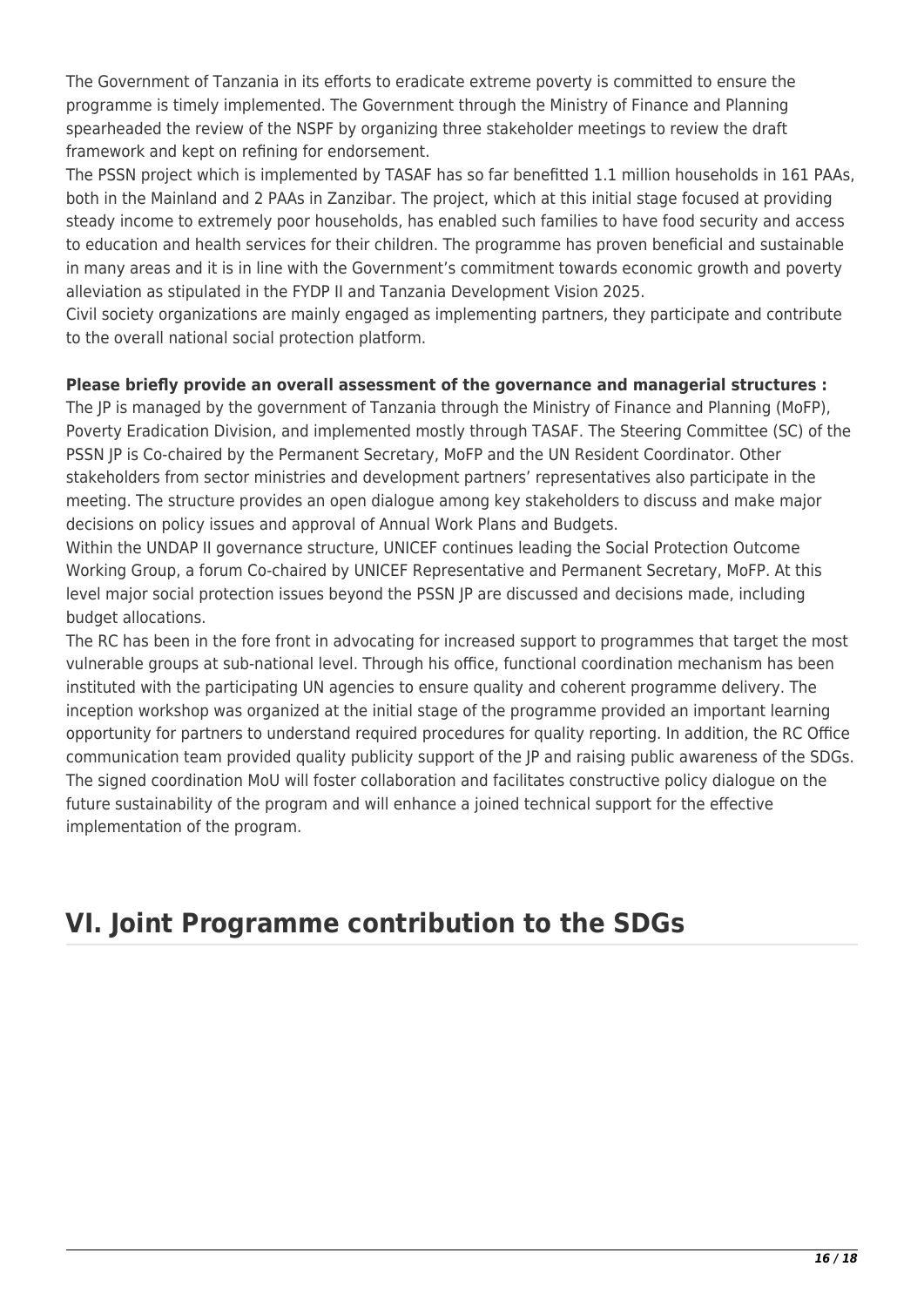The Government of Tanzania in its efforts to eradicate extreme poverty is committed to ensure the programme is timely implemented. The Government through the Ministry of Finance and Planning spearheaded the review of the NSPF by organizing three stakeholder meetings to review the draft framework and kept on refining for endorsement.

The PSSN project which is implemented by TASAF has so far benefitted 1.1 million households in 161 PAAs, both in the Mainland and 2 PAAs in Zanzibar. The project, which at this initial stage focused at providing steady income to extremely poor households, has enabled such families to have food security and access to education and health services for their children. The programme has proven beneficial and sustainable in many areas and it is in line with the Government's commitment towards economic growth and poverty alleviation as stipulated in the FYDP II and Tanzania Development Vision 2025.

Civil society organizations are mainly engaged as implementing partners, they participate and contribute to the overall national social protection platform.

### **Please briefly provide an overall assessment of the governance and managerial structures :**

The JP is managed by the government of Tanzania through the Ministry of Finance and Planning (MoFP), Poverty Eradication Division, and implemented mostly through TASAF. The Steering Committee (SC) of the PSSN JP is Co-chaired by the Permanent Secretary, MoFP and the UN Resident Coordinator. Other stakeholders from sector ministries and development partners' representatives also participate in the meeting. The structure provides an open dialogue among key stakeholders to discuss and make major decisions on policy issues and approval of Annual Work Plans and Budgets.

Within the UNDAP II governance structure, UNICEF continues leading the Social Protection Outcome Working Group, a forum Co-chaired by UNICEF Representative and Permanent Secretary, MoFP. At this level major social protection issues beyond the PSSN JP are discussed and decisions made, including budget allocations.

The RC has been in the fore front in advocating for increased support to programmes that target the most vulnerable groups at sub-national level. Through his office, functional coordination mechanism has been instituted with the participating UN agencies to ensure quality and coherent programme delivery. The inception workshop was organized at the initial stage of the programme provided an important learning opportunity for partners to understand required procedures for quality reporting. In addition, the RC Office communication team provided quality publicity support of the JP and raising public awareness of the SDGs. The signed coordination MoU will foster collaboration and facilitates constructive policy dialogue on the future sustainability of the program and will enhance a joined technical support for the effective implementation of the program.

# **VI. Joint Programme contribution to the SDGs**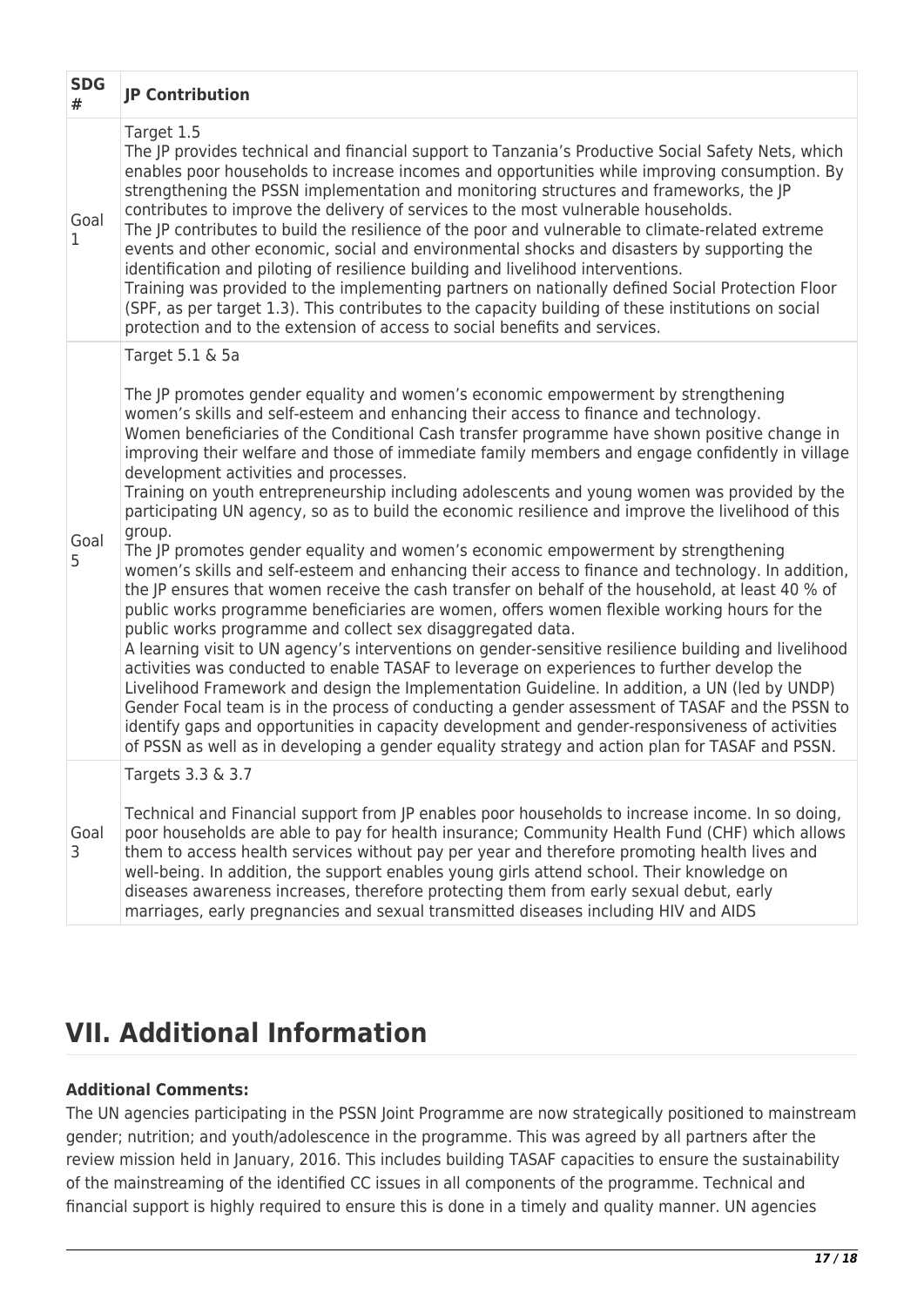| <b>SDG</b><br>#     | <b>JP Contribution</b>                                                                                                                                                                                                                                                                                                                                                                                                                                                                                                                                                                                                                                                                                                                                                                                                                                                                                                                                                                                                                                                                                                                                                                                                                                                                                                                                                                                                                                                                                                                                                                                                                                                                                                             |
|---------------------|------------------------------------------------------------------------------------------------------------------------------------------------------------------------------------------------------------------------------------------------------------------------------------------------------------------------------------------------------------------------------------------------------------------------------------------------------------------------------------------------------------------------------------------------------------------------------------------------------------------------------------------------------------------------------------------------------------------------------------------------------------------------------------------------------------------------------------------------------------------------------------------------------------------------------------------------------------------------------------------------------------------------------------------------------------------------------------------------------------------------------------------------------------------------------------------------------------------------------------------------------------------------------------------------------------------------------------------------------------------------------------------------------------------------------------------------------------------------------------------------------------------------------------------------------------------------------------------------------------------------------------------------------------------------------------------------------------------------------------|
| Goal<br>$\mathbf 1$ | Target 1.5<br>The JP provides technical and financial support to Tanzania's Productive Social Safety Nets, which<br>enables poor households to increase incomes and opportunities while improving consumption. By<br>strengthening the PSSN implementation and monitoring structures and frameworks, the JP<br>contributes to improve the delivery of services to the most vulnerable households.<br>The JP contributes to build the resilience of the poor and vulnerable to climate-related extreme<br>events and other economic, social and environmental shocks and disasters by supporting the<br>identification and piloting of resilience building and livelihood interventions.<br>Training was provided to the implementing partners on nationally defined Social Protection Floor<br>(SPF, as per target 1.3). This contributes to the capacity building of these institutions on social<br>protection and to the extension of access to social benefits and services.                                                                                                                                                                                                                                                                                                                                                                                                                                                                                                                                                                                                                                                                                                                                                   |
| Goal<br>5           | Target 5.1 & 5a<br>The JP promotes gender equality and women's economic empowerment by strengthening<br>women's skills and self-esteem and enhancing their access to finance and technology.<br>Women beneficiaries of the Conditional Cash transfer programme have shown positive change in<br>improving their welfare and those of immediate family members and engage confidently in village<br>development activities and processes.<br>Training on youth entrepreneurship including adolescents and young women was provided by the<br>participating UN agency, so as to build the economic resilience and improve the livelihood of this<br>group.<br>The JP promotes gender equality and women's economic empowerment by strengthening<br>women's skills and self-esteem and enhancing their access to finance and technology. In addition,<br>the JP ensures that women receive the cash transfer on behalf of the household, at least 40 % of<br>public works programme beneficiaries are women, offers women flexible working hours for the<br>public works programme and collect sex disaggregated data.<br>A learning visit to UN agency's interventions on gender-sensitive resilience building and livelihood<br>activities was conducted to enable TASAF to leverage on experiences to further develop the<br>Livelihood Framework and design the Implementation Guideline. In addition, a UN (led by UNDP)<br>Gender Focal team is in the process of conducting a gender assessment of TASAF and the PSSN to<br>identify gaps and opportunities in capacity development and gender-responsiveness of activities<br>of PSSN as well as in developing a gender equality strategy and action plan for TASAF and PSSN. |
| Goal<br>3           | Targets 3.3 & 3.7<br>Technical and Financial support from JP enables poor households to increase income. In so doing,<br>poor households are able to pay for health insurance; Community Health Fund (CHF) which allows<br>them to access health services without pay per year and therefore promoting health lives and<br>well-being. In addition, the support enables young girls attend school. Their knowledge on<br>diseases awareness increases, therefore protecting them from early sexual debut, early<br>marriages, early pregnancies and sexual transmitted diseases including HIV and AIDS                                                                                                                                                                                                                                                                                                                                                                                                                                                                                                                                                                                                                                                                                                                                                                                                                                                                                                                                                                                                                                                                                                                             |

# **VII. Additional Information**

## **Additional Comments:**

The UN agencies participating in the PSSN Joint Programme are now strategically positioned to mainstream gender; nutrition; and youth/adolescence in the programme. This was agreed by all partners after the review mission held in January, 2016. This includes building TASAF capacities to ensure the sustainability of the mainstreaming of the identified CC issues in all components of the programme. Technical and financial support is highly required to ensure this is done in a timely and quality manner. UN agencies